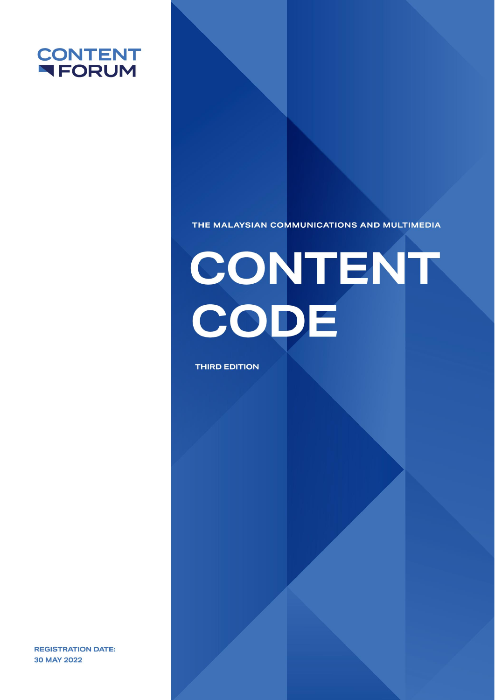

THE MALAYSIAN COMMUNICATIONS AND MULTIMEDIA

# CONTENT CODE

**THIRD EDITION** 

**REGISTRATION DATE:** 30 MAY 2022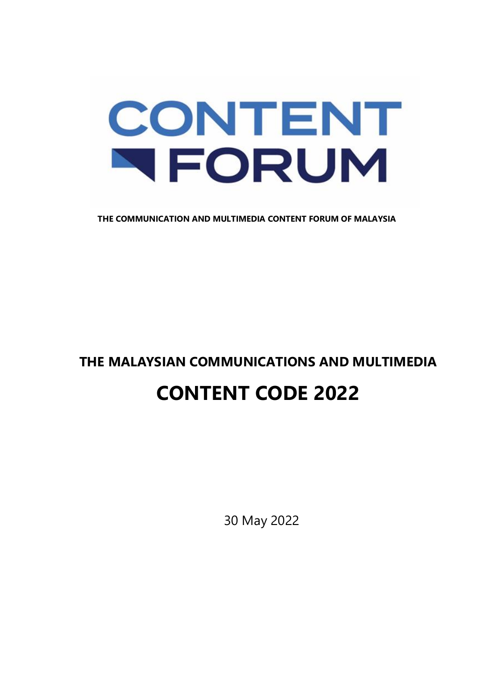## CONTENT NFORUM

**THE COMMUNICATION AND MULTIMEDIA CONTENT FORUM OF MALAYSIA**

## **THE MALAYSIAN COMMUNICATIONS AND MULTIMEDIA CONTENT CODE 2022**

30 May 2022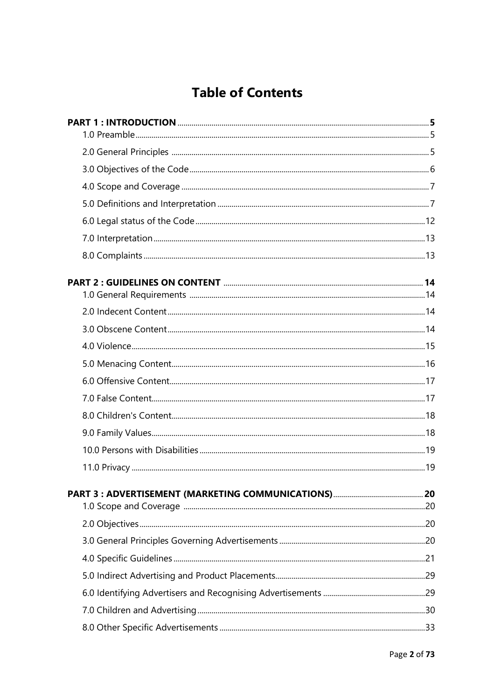### **Table of Contents**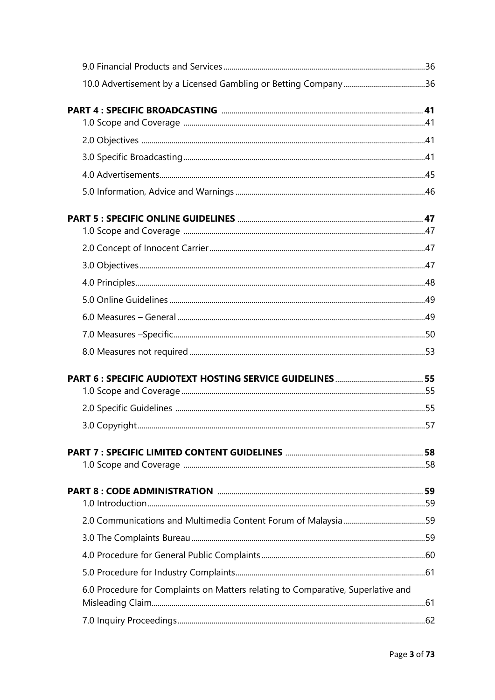| 6.0 Procedure for Complaints on Matters relating to Comparative, Superlative and |  |
|----------------------------------------------------------------------------------|--|
|                                                                                  |  |
|                                                                                  |  |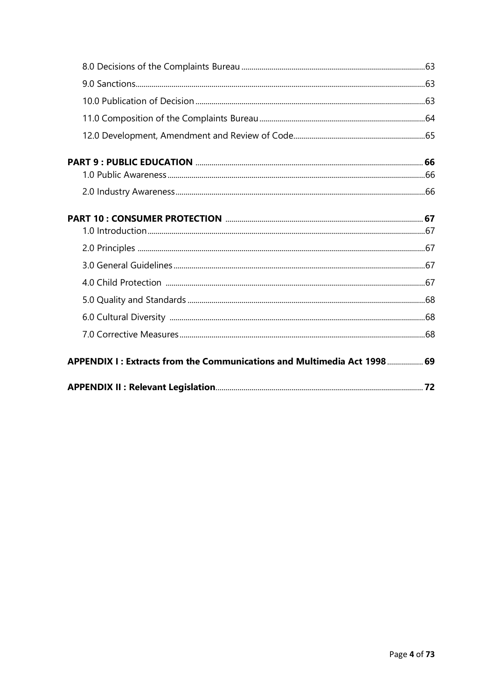| APPENDIX I: Extracts from the Communications and Multimedia Act 1998  69 |  |
|--------------------------------------------------------------------------|--|
|                                                                          |  |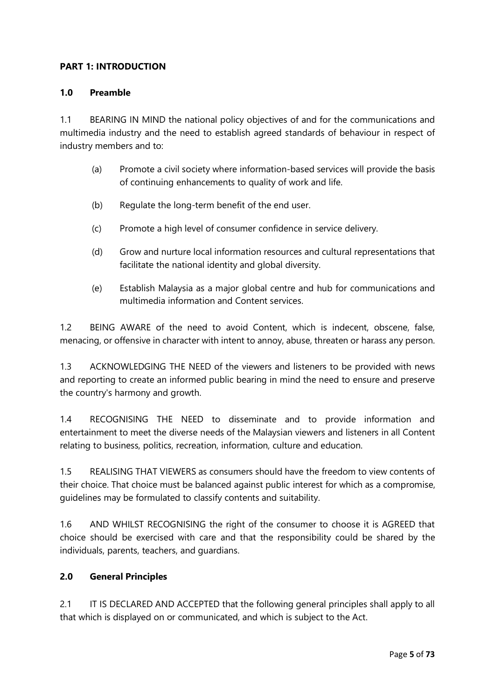#### **PART 1: INTRODUCTION**

#### **1.0 Preamble**

1.1 BEARING IN MIND the national policy objectives of and for the communications and multimedia industry and the need to establish agreed standards of behaviour in respect of industry members and to:

- (a) Promote a civil society where information-based services will provide the basis of continuing enhancements to quality of work and life.
- (b) Regulate the long-term benefit of the end user.
- (c) Promote a high level of consumer confidence in service delivery.
- (d) Grow and nurture local information resources and cultural representations that facilitate the national identity and global diversity.
- (e) Establish Malaysia as a major global centre and hub for communications and multimedia information and Content services.

1.2 BEING AWARE of the need to avoid Content, which is indecent, obscene, false, menacing, or offensive in character with intent to annoy, abuse, threaten or harass any person.

1.3 ACKNOWLEDGING THE NEED of the viewers and listeners to be provided with news and reporting to create an informed public bearing in mind the need to ensure and preserve the country's harmony and growth.

1.4 RECOGNISING THE NEED to disseminate and to provide information and entertainment to meet the diverse needs of the Malaysian viewers and listeners in all Content relating to business, politics, recreation, information, culture and education.

1.5 REALISING THAT VIEWERS as consumers should have the freedom to view contents of their choice. That choice must be balanced against public interest for which as a compromise, guidelines may be formulated to classify contents and suitability.

1.6 AND WHILST RECOGNISING the right of the consumer to choose it is AGREED that choice should be exercised with care and that the responsibility could be shared by the individuals, parents, teachers, and guardians.

#### **2.0 General Principles**

2.1 IT IS DECLARED AND ACCEPTED that the following general principles shall apply to all that which is displayed on or communicated, and which is subject to the Act.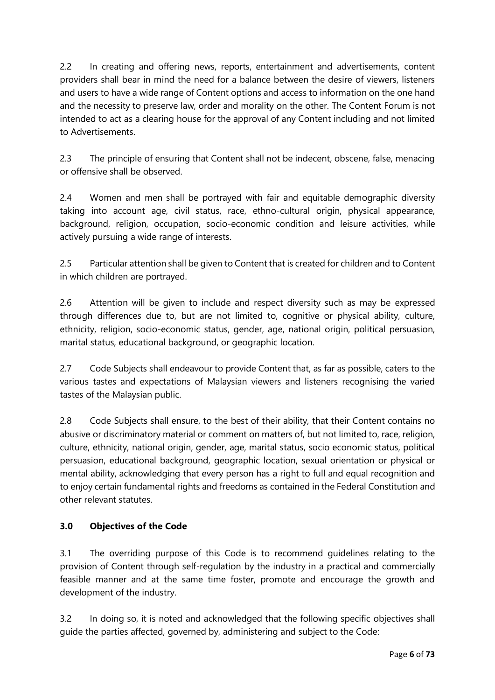2.2 In creating and offering news, reports, entertainment and advertisements, content providers shall bear in mind the need for a balance between the desire of viewers, listeners and users to have a wide range of Content options and access to information on the one hand and the necessity to preserve law, order and morality on the other. The Content Forum is not intended to act as a clearing house for the approval of any Content including and not limited to Advertisements.

2.3 The principle of ensuring that Content shall not be indecent, obscene, false, menacing or offensive shall be observed.

2.4 Women and men shall be portraved with fair and equitable demographic diversity taking into account age, civil status, race, ethno-cultural origin, physical appearance, background, religion, occupation, socio-economic condition and leisure activities, while actively pursuing a wide range of interests.

2.5 Particular attention shall be given to Content that is created for children and to Content in which children are portrayed.

2.6 Attention will be given to include and respect diversity such as may be expressed through differences due to, but are not limited to, cognitive or physical ability, culture, ethnicity, religion, socio-economic status, gender, age, national origin, political persuasion, marital status, educational background, or geographic location.

2.7 Code Subjects shall endeavour to provide Content that, as far as possible, caters to the various tastes and expectations of Malaysian viewers and listeners recognising the varied tastes of the Malaysian public.

2.8 Code Subjects shall ensure, to the best of their ability, that their Content contains no abusive or discriminatory material or comment on matters of, but not limited to, race, religion, culture, ethnicity, national origin, gender, age, marital status, socio economic status, political persuasion, educational background, geographic location, sexual orientation or physical or mental ability, acknowledging that every person has a right to full and equal recognition and to enjoy certain fundamental rights and freedoms as contained in the Federal Constitution and other relevant statutes.

#### **3.0 Objectives of the Code**

3.1 The overriding purpose of this Code is to recommend guidelines relating to the provision of Content through self-regulation by the industry in a practical and commercially feasible manner and at the same time foster, promote and encourage the growth and development of the industry.

3.2 In doing so, it is noted and acknowledged that the following specific objectives shall guide the parties affected, governed by, administering and subject to the Code: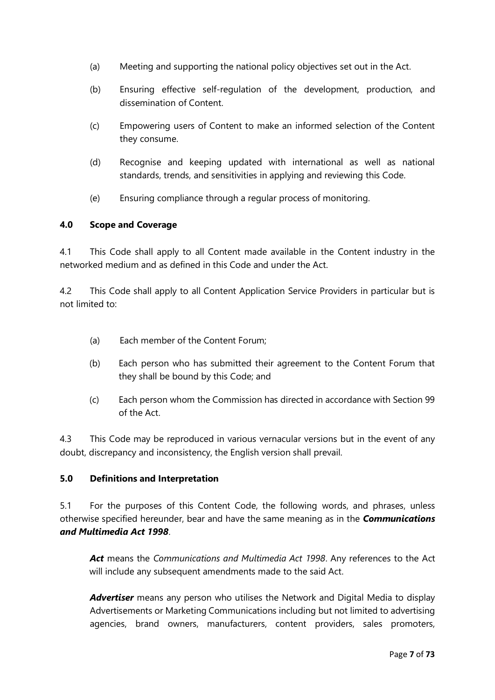- (a) Meeting and supporting the national policy objectives set out in the Act.
- (b) Ensuring effective self-regulation of the development, production, and dissemination of Content.
- (c) Empowering users of Content to make an informed selection of the Content they consume.
- (d) Recognise and keeping updated with international as well as national standards, trends, and sensitivities in applying and reviewing this Code.
- (e) Ensuring compliance through a regular process of monitoring.

#### **4.0 Scope and Coverage**

4.1 This Code shall apply to all Content made available in the Content industry in the networked medium and as defined in this Code and under the Act.

4.2 This Code shall apply to all Content Application Service Providers in particular but is not limited to:

- (a) Each member of the Content Forum;
- (b) Each person who has submitted their agreement to the Content Forum that they shall be bound by this Code; and
- (c) Each person whom the Commission has directed in accordance with Section 99 of the Act.

4.3 This Code may be reproduced in various vernacular versions but in the event of any doubt, discrepancy and inconsistency, the English version shall prevail.

#### **5.0 Definitions and Interpretation**

5.1 For the purposes of this Content Code, the following words, and phrases, unless otherwise specified hereunder, bear and have the same meaning as in the *Communications and Multimedia Act 1998*.

*Act* means the *Communications and Multimedia Act 1998*. Any references to the Act will include any subsequent amendments made to the said Act.

Advertiser means any person who utilises the Network and Digital Media to display Advertisements or Marketing Communications including but not limited to advertising agencies, brand owners, manufacturers, content providers, sales promoters,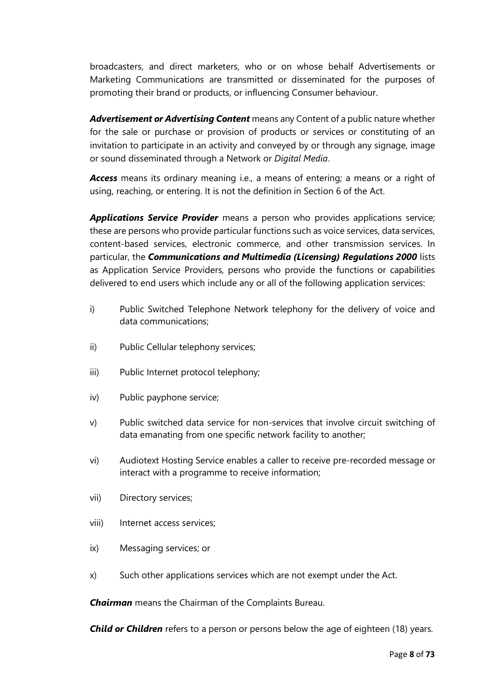broadcasters, and direct marketers, who or on whose behalf Advertisements or Marketing Communications are transmitted or disseminated for the purposes of promoting their brand or products, or influencing Consumer behaviour.

*Advertisement or Advertising Content* means any Content of a public nature whether for the sale or purchase or provision of products or services or constituting of an invitation to participate in an activity and conveyed by or through any signage, image or sound disseminated through a Network or *Digital Media*.

*Access* means its ordinary meaning i.e., a means of entering; a means or a right of using, reaching, or entering. It is not the definition in Section 6 of the Act.

*Applications Service Provider* means a person who provides applications service; these are persons who provide particular functions such as voice services, data services, content-based services, electronic commerce, and other transmission services. In particular, the *Communications and Multimedia (Licensing) Regulations 2000* lists as Application Service Providers, persons who provide the functions or capabilities delivered to end users which include any or all of the following application services:

- i) Public Switched Telephone Network telephony for the delivery of voice and data communications;
- ii) Public Cellular telephony services;
- iii) Public Internet protocol telephony;
- iv) Public payphone service;
- v) Public switched data service for non-services that involve circuit switching of data emanating from one specific network facility to another;
- vi) Audiotext Hosting Service enables a caller to receive pre-recorded message or interact with a programme to receive information;
- vii) Directory services;
- viii) Internet access services;
- ix) Messaging services; or
- x) Such other applications services which are not exempt under the Act.

*Chairman* means the Chairman of the Complaints Bureau.

*Child or Children* refers to a person or persons below the age of eighteen (18) years.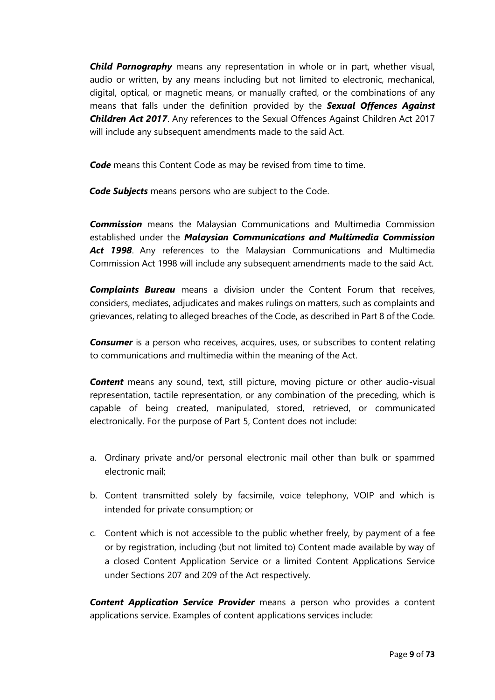*Child Pornography* means any representation in whole or in part, whether visual, audio or written, by any means including but not limited to electronic, mechanical, digital, optical, or magnetic means, or manually crafted, or the combinations of any means that falls under the definition provided by the *Sexual Offences Against Children Act 2017*. Any references to the Sexual Offences Against Children Act 2017 will include any subsequent amendments made to the said Act.

**Code** means this Content Code as may be revised from time to time.

*Code Subjects* means persons who are subject to the Code.

*Commission* means the Malaysian Communications and Multimedia Commission established under the *Malaysian Communications and Multimedia Commission Act 1998*. Any references to the Malaysian Communications and Multimedia Commission Act 1998 will include any subsequent amendments made to the said Act.

*Complaints Bureau* means a division under the Content Forum that receives, considers, mediates, adjudicates and makes rulings on matters, such as complaints and grievances, relating to alleged breaches of the Code, as described in Part 8 of the Code.

**Consumer** is a person who receives, acquires, uses, or subscribes to content relating to communications and multimedia within the meaning of the Act.

*Content* means any sound, text, still picture, moving picture or other audio-visual representation, tactile representation, or any combination of the preceding, which is capable of being created, manipulated, stored, retrieved, or communicated electronically. For the purpose of Part 5, Content does not include:

- a. Ordinary private and/or personal electronic mail other than bulk or spammed electronic mail;
- b. Content transmitted solely by facsimile, voice telephony, VOIP and which is intended for private consumption; or
- c. Content which is not accessible to the public whether freely, by payment of a fee or by registration, including (but not limited to) Content made available by way of a closed Content Application Service or a limited Content Applications Service under Sections 207 and 209 of the Act respectively.

*Content Application Service Provider* means a person who provides a content applications service. Examples of content applications services include: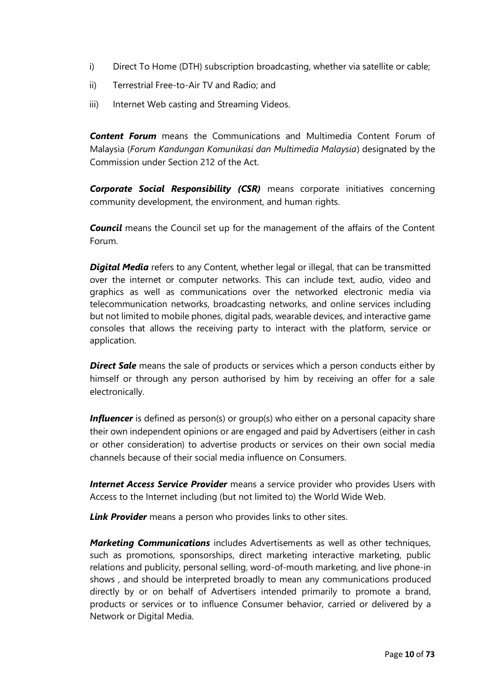- i) Direct To Home (DTH) subscription broadcasting, whether via satellite or cable;
- ii) Terrestrial Free-to-Air TV and Radio; and
- iii) Internet Web casting and Streaming Videos.

*Content Forum* means the Communications and Multimedia Content Forum of Malaysia (*Forum Kandungan Komunikasi dan Multimedia Malaysia*) designated by the Commission under Section 212 of the Act.

*Corporate Social Responsibility (CSR)* means corporate initiatives concerning community development, the environment, and human rights.

*Council* means the Council set up for the management of the affairs of the Content Forum.

*Digital Media* refers to any Content, whether legal or illegal, that can be transmitted over the internet or computer networks. This can include text, audio, video and graphics as well as communications over the networked electronic media via telecommunication networks, broadcasting networks, and online services including but not limited to mobile phones, digital pads, wearable devices, and interactive game consoles that allows the receiving party to interact with the platform, service or application.

**Direct Sale** means the sale of products or services which a person conducts either by himself or through any person authorised by him by receiving an offer for a sale electronically.

**Influencer** is defined as person(s) or group(s) who either on a personal capacity share their own independent opinions or are engaged and paid by Advertisers (either in cash or other consideration) to advertise products or services on their own social media channels because of their social media influence on Consumers.

**Internet Access Service Provider** means a service provider who provides Users with Access to the Internet including (but not limited to) the World Wide Web.

*Link Provider* means a person who provides links to other sites.

*Marketing Communications* includes Advertisements as well as other techniques, such as promotions, sponsorships, direct marketing interactive marketing, public relations and publicity, personal selling, word-of-mouth marketing, and live phone-in shows , and should be interpreted broadly to mean any communications produced directly by or on behalf of Advertisers intended primarily to promote a brand, products or services or to influence Consumer behavior, carried or delivered by a Network or Digital Media.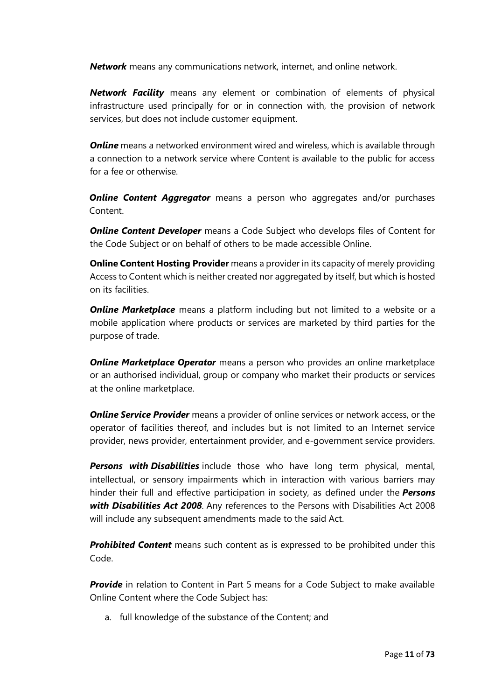*Network* means any communications network, internet, and online network.

*Network Facility* means any element or combination of elements of physical infrastructure used principally for or in connection with, the provision of network services, but does not include customer equipment.

*Online* means a networked environment wired and wireless, which is available through a connection to a network service where Content is available to the public for access for a fee or otherwise.

**Online Content Aggregator** means a person who aggregates and/or purchases Content.

*Online Content Developer* means a Code Subject who develops files of Content for the Code Subject or on behalf of others to be made accessible Online.

**Online Content Hosting Provider** means a provider in its capacity of merely providing Access to Content which is neither created nor aggregated by itself, but which is hosted on its facilities.

**Online Marketplace** means a platform including but not limited to a website or a mobile application where products or services are marketed by third parties for the purpose of trade.

**Online Marketplace Operator** means a person who provides an online marketplace or an authorised individual, group or company who market their products or services at the online marketplace.

**Online Service Provider** means a provider of online services or network access, or the operator of facilities thereof, and includes but is not limited to an Internet service provider, news provider, entertainment provider, and e-government service providers.

*Persons with Disabilities* include those who have long term physical, mental, intellectual, or sensory impairments which in interaction with various barriers may hinder their full and effective participation in society, as defined under the *Persons with Disabilities Act 2008.* Any references to the Persons with Disabilities Act 2008 will include any subsequent amendments made to the said Act.

*Prohibited Content* means such content as is expressed to be prohibited under this Code.

*Provide* in relation to Content in Part 5 means for a Code Subject to make available Online Content where the Code Subject has:

a. full knowledge of the substance of the Content; and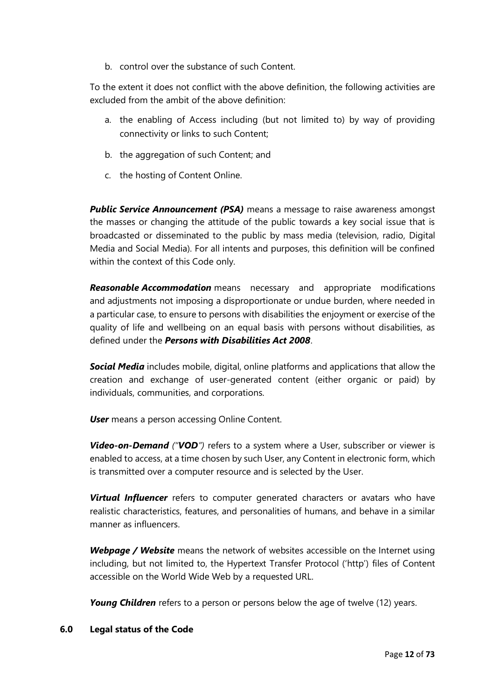b. control over the substance of such Content.

To the extent it does not conflict with the above definition, the following activities are excluded from the ambit of the above definition:

- a. the enabling of Access including (but not limited to) by way of providing connectivity or links to such Content;
- b. the aggregation of such Content; and
- c. the hosting of Content Online.

**Public Service Announcement (PSA)** means a message to raise awareness amongst the masses or changing the attitude of the public towards a key social issue that is broadcasted or disseminated to the public by mass media (television, radio, Digital Media and Social Media). For all intents and purposes, this definition will be confined within the context of this Code only.

*Reasonable Accommodation* means necessary and appropriate modifications and adjustments not imposing a disproportionate or undue burden, where needed in a particular case, to ensure to persons with disabilities the enjoyment or exercise of the quality of life and wellbeing on an equal basis with persons without disabilities, as defined under the *Persons with Disabilities Act 2008*.

*Social Media* includes mobile, digital, online platforms and applications that allow the creation and exchange of user-generated content (either organic or paid) by individuals, communities, and corporations.

*User* means a person accessing Online Content.

*Video-on-Demand ("VOD")* refers to a system where a User, subscriber or viewer is enabled to access, at a time chosen by such User, any Content in electronic form, which is transmitted over a computer resource and is selected by the User.

**Virtual Influencer** refers to computer generated characters or avatars who have realistic characteristics, features, and personalities of humans, and behave in a similar manner as influencers.

*Webpage / Website* means the network of websites accessible on the Internet using including, but not limited to, the Hypertext Transfer Protocol ('http') files of Content accessible on the World Wide Web by a requested URL.

**Young Children** refers to a person or persons below the age of twelve (12) years.

#### **6.0 Legal status of the Code**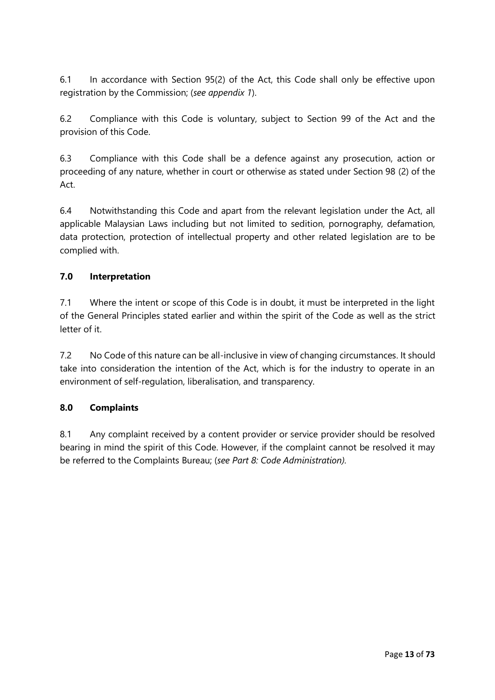6.1 In accordance with Section 95(2) of the Act, this Code shall only be effective upon registration by the Commission; (*see appendix 1*).

6.2 Compliance with this Code is voluntary, subject to Section 99 of the Act and the provision of this Code.

6.3 Compliance with this Code shall be a defence against any prosecution, action or proceeding of any nature, whether in court or otherwise as stated under Section 98 (2) of the Act.

6.4 Notwithstanding this Code and apart from the relevant legislation under the Act, all applicable Malaysian Laws including but not limited to sedition, pornography, defamation, data protection, protection of intellectual property and other related legislation are to be complied with.

#### **7.0 Interpretation**

7.1 Where the intent or scope of this Code is in doubt, it must be interpreted in the light of the General Principles stated earlier and within the spirit of the Code as well as the strict letter of it.

7.2 No Code of this nature can be all-inclusive in view of changing circumstances. It should take into consideration the intention of the Act, which is for the industry to operate in an environment of self-regulation, liberalisation, and transparency.

#### **8.0 Complaints**

8.1 Any complaint received by a content provider or service provider should be resolved bearing in mind the spirit of this Code. However, if the complaint cannot be resolved it may be referred to the Complaints Bureau; (*see Part 8: Code Administration).*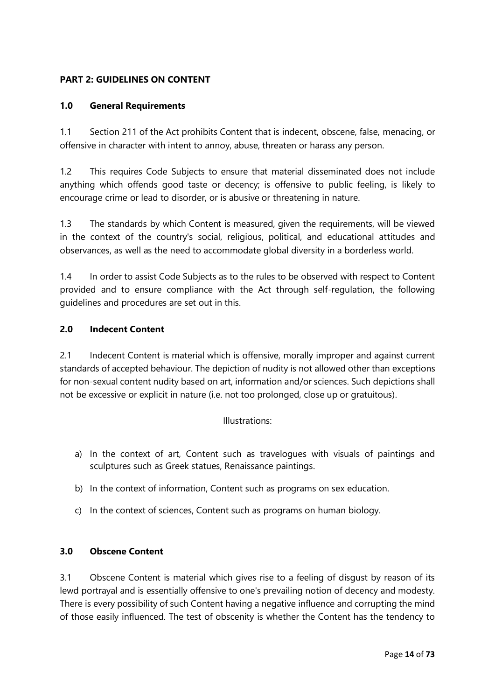#### **PART 2: GUIDELINES ON CONTENT**

#### **1.0 General Requirements**

1.1 Section 211 of the Act prohibits Content that is indecent, obscene, false, menacing, or offensive in character with intent to annoy, abuse, threaten or harass any person.

1.2 This requires Code Subjects to ensure that material disseminated does not include anything which offends good taste or decency; is offensive to public feeling, is likely to encourage crime or lead to disorder, or is abusive or threatening in nature.

1.3 The standards by which Content is measured, given the requirements, will be viewed in the context of the country's social, religious, political, and educational attitudes and observances, as well as the need to accommodate global diversity in a borderless world.

1.4 In order to assist Code Subjects as to the rules to be observed with respect to Content provided and to ensure compliance with the Act through self-regulation, the following guidelines and procedures are set out in this.

#### **2.0 Indecent Content**

2.1 Indecent Content is material which is offensive, morally improper and against current standards of accepted behaviour. The depiction of nudity is not allowed other than exceptions for non-sexual content nudity based on art, information and/or sciences. Such depictions shall not be excessive or explicit in nature (i.e. not too prolonged, close up or gratuitous).

#### Illustrations:

- a) In the context of art, Content such as travelogues with visuals of paintings and sculptures such as Greek statues, Renaissance paintings.
- b) In the context of information, Content such as programs on sex education.
- c) In the context of sciences, Content such as programs on human biology.

#### **3.0 Obscene Content**

3.1 Obscene Content is material which gives rise to a feeling of disgust by reason of its lewd portrayal and is essentially offensive to one's prevailing notion of decency and modesty. There is every possibility of such Content having a negative influence and corrupting the mind of those easily influenced. The test of obscenity is whether the Content has the tendency to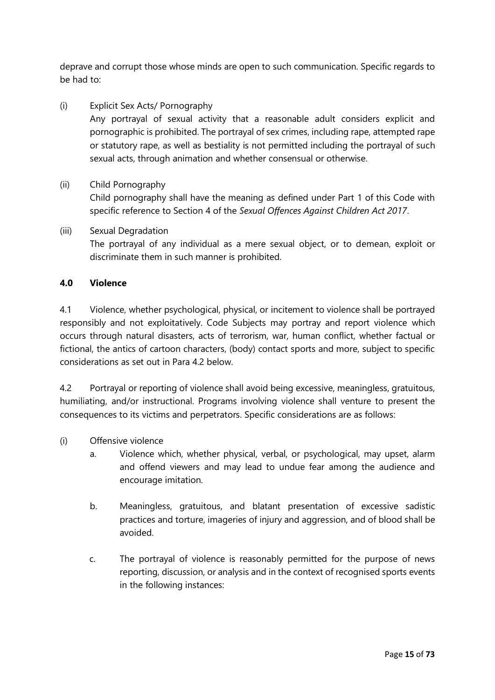deprave and corrupt those whose minds are open to such communication. Specific regards to be had to:

- (i) Explicit Sex Acts/ Pornography Any portrayal of sexual activity that a reasonable adult considers explicit and pornographic is prohibited. The portrayal of sex crimes, including rape, attempted rape or statutory rape, as well as bestiality is not permitted including the portrayal of such sexual acts, through animation and whether consensual or otherwise.
- (ii) Child Pornography

Child pornography shall have the meaning as defined under Part 1 of this Code with specific reference to Section 4 of the *Sexual Offences Against Children Act 2017*.

(iii) Sexual Degradation The portrayal of any individual as a mere sexual object, or to demean, exploit or discriminate them in such manner is prohibited.

#### **4.0 Violence**

4.1 Violence, whether psychological, physical, or incitement to violence shall be portrayed responsibly and not exploitatively. Code Subjects may portray and report violence which occurs through natural disasters, acts of terrorism, war, human conflict, whether factual or fictional, the antics of cartoon characters, (body) contact sports and more, subject to specific considerations as set out in Para 4.2 below.

4.2 Portrayal or reporting of violence shall avoid being excessive, meaningless, gratuitous, humiliating, and/or instructional. Programs involving violence shall venture to present the consequences to its victims and perpetrators. Specific considerations are as follows:

- (i) Offensive violence
	- a. Violence which, whether physical, verbal, or psychological, may upset, alarm and offend viewers and may lead to undue fear among the audience and encourage imitation.
	- b. Meaningless, gratuitous, and blatant presentation of excessive sadistic practices and torture, imageries of injury and aggression, and of blood shall be avoided.
	- c. The portrayal of violence is reasonably permitted for the purpose of news reporting, discussion, or analysis and in the context of recognised sports events in the following instances: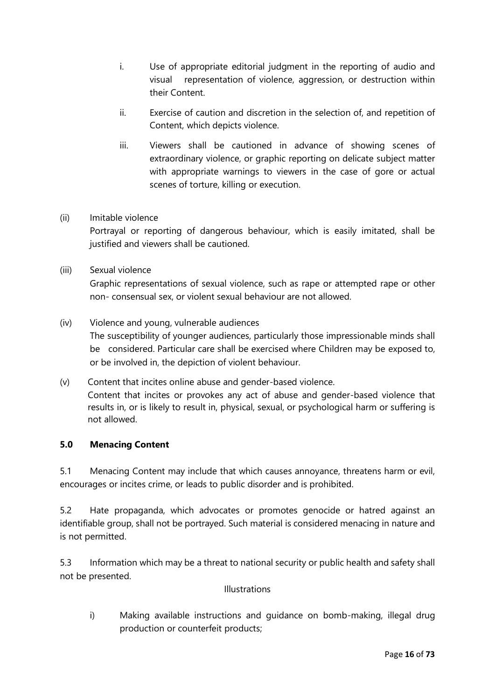- i. Use of appropriate editorial judgment in the reporting of audio and visual representation of violence, aggression, or destruction within their Content.
- ii. Exercise of caution and discretion in the selection of, and repetition of Content, which depicts violence.
- iii. Viewers shall be cautioned in advance of showing scenes of extraordinary violence, or graphic reporting on delicate subject matter with appropriate warnings to viewers in the case of gore or actual scenes of torture, killing or execution.
- (ii) Imitable violence

Portrayal or reporting of dangerous behaviour, which is easily imitated, shall be justified and viewers shall be cautioned.

(iii) Sexual violence

Graphic representations of sexual violence, such as rape or attempted rape or other non- consensual sex, or violent sexual behaviour are not allowed.

- (iv) Violence and young, vulnerable audiences The susceptibility of younger audiences, particularly those impressionable minds shall be considered. Particular care shall be exercised where Children may be exposed to, or be involved in, the depiction of violent behaviour.
- (v) Content that incites online abuse and gender-based violence. Content that incites or provokes any act of abuse and gender-based violence that results in, or is likely to result in, physical, sexual, or psychological harm or suffering is not allowed.

#### **5.0 Menacing Content**

5.1 Menacing Content may include that which causes annoyance, threatens harm or evil, encourages or incites crime, or leads to public disorder and is prohibited.

5.2 Hate propaganda, which advocates or promotes genocide or hatred against an identifiable group, shall not be portrayed. Such material is considered menacing in nature and is not permitted.

5.3 Information which may be a threat to national security or public health and safety shall not be presented.

#### Illustrations

i) Making available instructions and guidance on bomb-making, illegal drug production or counterfeit products;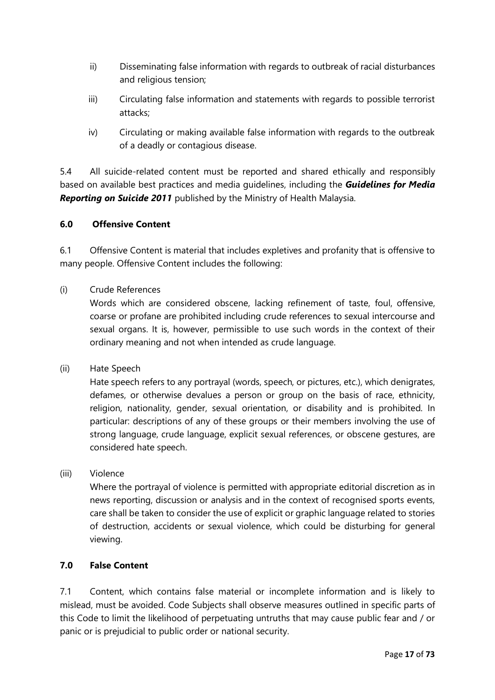- ii) Disseminating false information with regards to outbreak of racial disturbances and religious tension;
- iii) Circulating false information and statements with regards to possible terrorist attacks;
- iv) Circulating or making available false information with regards to the outbreak of a deadly or contagious disease.

5.4 All suicide-related content must be reported and shared ethically and responsibly based on available best practices and media guidelines, including the *Guidelines for Media Reporting on Suicide 2011* published by the Ministry of Health Malaysia.

#### **6.0 Offensive Content**

6.1 Offensive Content is material that includes expletives and profanity that is offensive to many people. Offensive Content includes the following:

#### (i) Crude References

Words which are considered obscene, lacking refinement of taste, foul, offensive, coarse or profane are prohibited including crude references to sexual intercourse and sexual organs. It is, however, permissible to use such words in the context of their ordinary meaning and not when intended as crude language.

(ii) Hate Speech

Hate speech refers to any portrayal (words, speech, or pictures, etc.), which denigrates, defames, or otherwise devalues a person or group on the basis of race, ethnicity, religion, nationality, gender, sexual orientation, or disability and is prohibited. In particular: descriptions of any of these groups or their members involving the use of strong language, crude language, explicit sexual references, or obscene gestures, are considered hate speech.

#### (iii) Violence

Where the portrayal of violence is permitted with appropriate editorial discretion as in news reporting, discussion or analysis and in the context of recognised sports events, care shall be taken to consider the use of explicit or graphic language related to stories of destruction, accidents or sexual violence, which could be disturbing for general viewing.

#### **7.0 False Content**

7.1 Content, which contains false material or incomplete information and is likely to mislead, must be avoided. Code Subjects shall observe measures outlined in specific parts of this Code to limit the likelihood of perpetuating untruths that may cause public fear and / or panic or is prejudicial to public order or national security.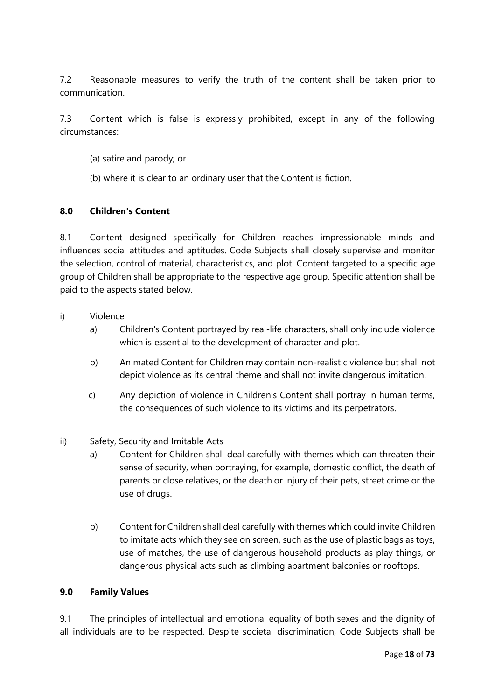7.2 Reasonable measures to verify the truth of the content shall be taken prior to communication.

7.3 Content which is false is expressly prohibited, except in any of the following circumstances:

- (a) satire and parody; or
- (b) where it is clear to an ordinary user that the Content is fiction.

#### **8.0 Children's Content**

8.1 Content designed specifically for Children reaches impressionable minds and influences social attitudes and aptitudes. Code Subjects shall closely supervise and monitor the selection, control of material, characteristics, and plot. Content targeted to a specific age group of Children shall be appropriate to the respective age group. Specific attention shall be paid to the aspects stated below.

- i) Violence
	- a) Children's Content portrayed by real-life characters, shall only include violence which is essential to the development of character and plot.
	- b) Animated Content for Children may contain non-realistic violence but shall not depict violence as its central theme and shall not invite dangerous imitation.
	- c) Any depiction of violence in Children's Content shall portray in human terms, the consequences of such violence to its victims and its perpetrators.
- ii) Safety, Security and Imitable Acts
	- a) Content for Children shall deal carefully with themes which can threaten their sense of security, when portraying, for example, domestic conflict, the death of parents or close relatives, or the death or injury of their pets, street crime or the use of drugs.
	- b) Content for Children shall deal carefully with themes which could invite Children to imitate acts which they see on screen, such as the use of plastic bags as toys, use of matches, the use of dangerous household products as play things, or dangerous physical acts such as climbing apartment balconies or rooftops.

#### **9.0 Family Values**

9.1 The principles of intellectual and emotional equality of both sexes and the dignity of all individuals are to be respected. Despite societal discrimination, Code Subjects shall be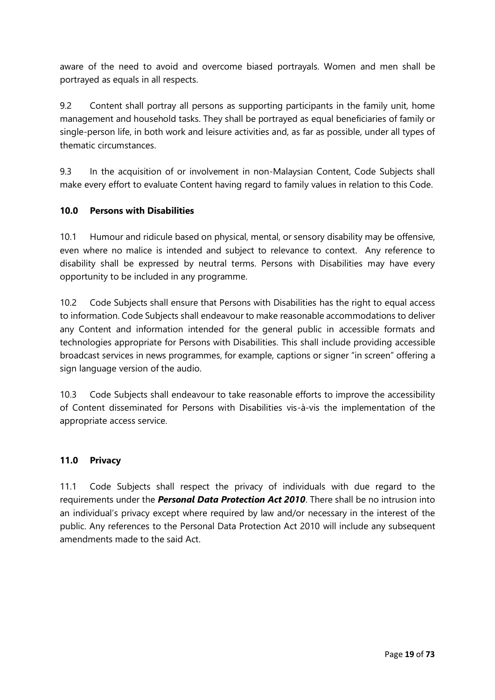aware of the need to avoid and overcome biased portrayals. Women and men shall be portrayed as equals in all respects.

9.2 Content shall portray all persons as supporting participants in the family unit, home management and household tasks. They shall be portrayed as equal beneficiaries of family or single-person life, in both work and leisure activities and, as far as possible, under all types of thematic circumstances.

9.3 In the acquisition of or involvement in non-Malaysian Content, Code Subjects shall make every effort to evaluate Content having regard to family values in relation to this Code.

#### **10.0 Persons with Disabilities**

10.1 Humour and ridicule based on physical, mental, or sensory disability may be offensive, even where no malice is intended and subject to relevance to context. Any reference to disability shall be expressed by neutral terms. Persons with Disabilities may have every opportunity to be included in any programme.

10.2 Code Subjects shall ensure that Persons with Disabilities has the right to equal access to information. Code Subjects shall endeavour to make reasonable accommodations to deliver any Content and information intended for the general public in accessible formats and technologies appropriate for Persons with Disabilities. This shall include providing accessible broadcast services in news programmes, for example, captions or signer "in screen" offering a sign language version of the audio.

10.3 Code Subjects shall endeavour to take reasonable efforts to improve the accessibility of Content disseminated for Persons with Disabilities vis-à-vis the implementation of the appropriate access service.

#### **11.0 Privacy**

11.1 Code Subjects shall respect the privacy of individuals with due regard to the requirements under the *Personal Data Protection Act 2010*. There shall be no intrusion into an individual's privacy except where required by law and/or necessary in the interest of the public. Any references to the Personal Data Protection Act 2010 will include any subsequent amendments made to the said Act.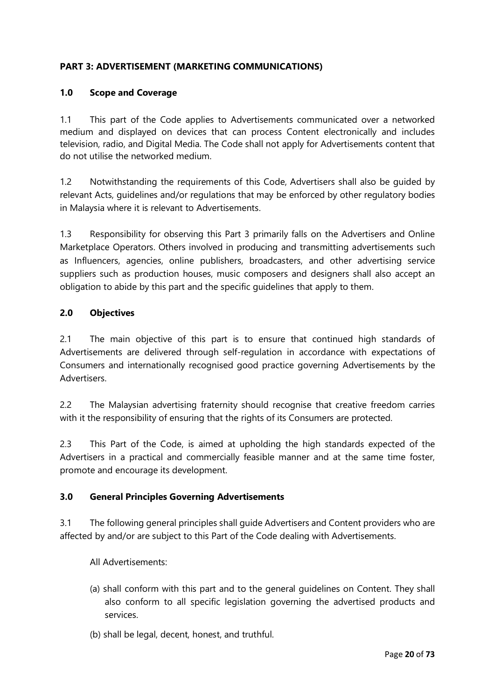#### **PART 3: ADVERTISEMENT (MARKETING COMMUNICATIONS)**

#### **1.0 Scope and Coverage**

1.1 This part of the Code applies to Advertisements communicated over a networked medium and displayed on devices that can process Content electronically and includes television, radio, and Digital Media. The Code shall not apply for Advertisements content that do not utilise the networked medium.

1.2 Notwithstanding the requirements of this Code, Advertisers shall also be guided by relevant Acts, guidelines and/or regulations that may be enforced by other regulatory bodies in Malaysia where it is relevant to Advertisements.

1.3 Responsibility for observing this Part 3 primarily falls on the Advertisers and Online Marketplace Operators. Others involved in producing and transmitting advertisements such as Influencers, agencies, online publishers, broadcasters, and other advertising service suppliers such as production houses, music composers and designers shall also accept an obligation to abide by this part and the specific guidelines that apply to them.

#### **2.0 Objectives**

2.1 The main objective of this part is to ensure that continued high standards of Advertisements are delivered through self-regulation in accordance with expectations of Consumers and internationally recognised good practice governing Advertisements by the Advertisers.

2.2 The Malaysian advertising fraternity should recognise that creative freedom carries with it the responsibility of ensuring that the rights of its Consumers are protected.

2.3 This Part of the Code, is aimed at upholding the high standards expected of the Advertisers in a practical and commercially feasible manner and at the same time foster, promote and encourage its development.

#### **3.0 General Principles Governing Advertisements**

3.1 The following general principles shall guide Advertisers and Content providers who are affected by and/or are subject to this Part of the Code dealing with Advertisements.

All Advertisements:

- (a) shall conform with this part and to the general guidelines on Content. They shall also conform to all specific legislation governing the advertised products and services.
- (b) shall be legal, decent, honest, and truthful.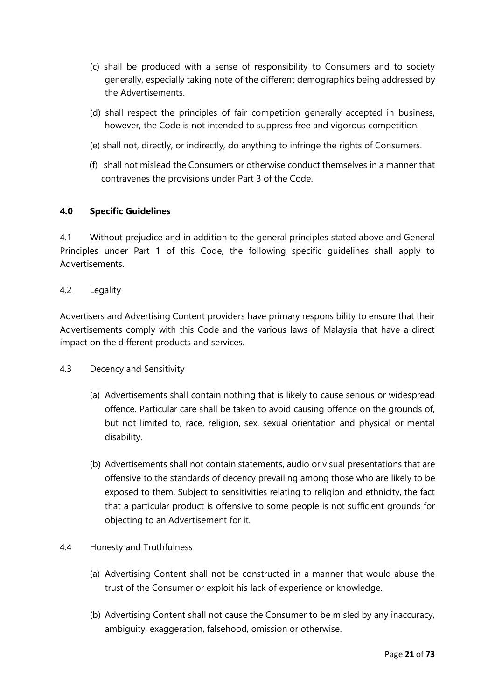- (c) shall be produced with a sense of responsibility to Consumers and to society generally, especially taking note of the different demographics being addressed by the Advertisements.
- (d) shall respect the principles of fair competition generally accepted in business, however, the Code is not intended to suppress free and vigorous competition.
- (e) shall not, directly, or indirectly, do anything to infringe the rights of Consumers.
- (f) shall not mislead the Consumers or otherwise conduct themselves in a manner that contravenes the provisions under Part 3 of the Code.

#### **4.0 Specific Guidelines**

4.1 Without prejudice and in addition to the general principles stated above and General Principles under Part 1 of this Code, the following specific guidelines shall apply to Advertisements.

#### 4.2 Legality

Advertisers and Advertising Content providers have primary responsibility to ensure that their Advertisements comply with this Code and the various laws of Malaysia that have a direct impact on the different products and services.

#### 4.3 Decency and Sensitivity

- (a) Advertisements shall contain nothing that is likely to cause serious or widespread offence. Particular care shall be taken to avoid causing offence on the grounds of, but not limited to, race, religion, sex, sexual orientation and physical or mental disability.
- (b) Advertisements shall not contain statements, audio or visual presentations that are offensive to the standards of decency prevailing among those who are likely to be exposed to them. Subject to sensitivities relating to religion and ethnicity, the fact that a particular product is offensive to some people is not sufficient grounds for objecting to an Advertisement for it.

#### 4.4 Honesty and Truthfulness

- (a) Advertising Content shall not be constructed in a manner that would abuse the trust of the Consumer or exploit his lack of experience or knowledge.
- (b) Advertising Content shall not cause the Consumer to be misled by any inaccuracy, ambiguity, exaggeration, falsehood, omission or otherwise.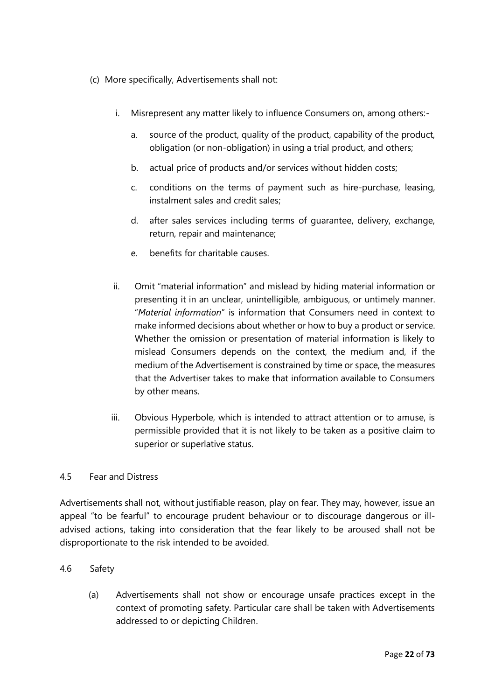- (c) More specifically, Advertisements shall not:
	- i. Misrepresent any matter likely to influence Consumers on, among others:
		- a. source of the product, quality of the product, capability of the product, obligation (or non-obligation) in using a trial product, and others;
		- b. actual price of products and/or services without hidden costs;
		- c. conditions on the terms of payment such as hire-purchase, leasing, instalment sales and credit sales;
		- d. after sales services including terms of guarantee, delivery, exchange, return, repair and maintenance;
		- e. benefits for charitable causes.
	- ii. Omit "material information" and mislead by hiding material information or presenting it in an unclear, unintelligible, ambiguous, or untimely manner. "*Material information*" is information that Consumers need in context to make informed decisions about whether or how to buy a product or service. Whether the omission or presentation of material information is likely to mislead Consumers depends on the context, the medium and, if the medium of the Advertisement is constrained by time or space, the measures that the Advertiser takes to make that information available to Consumers by other means.
	- iii. Obvious Hyperbole, which is intended to attract attention or to amuse, is permissible provided that it is not likely to be taken as a positive claim to superior or superlative status.

#### 4.5 Fear and Distress

Advertisements shall not, without justifiable reason, play on fear. They may, however, issue an appeal "to be fearful" to encourage prudent behaviour or to discourage dangerous or illadvised actions, taking into consideration that the fear likely to be aroused shall not be disproportionate to the risk intended to be avoided.

#### 4.6 Safety

(a) Advertisements shall not show or encourage unsafe practices except in the context of promoting safety. Particular care shall be taken with Advertisements addressed to or depicting Children.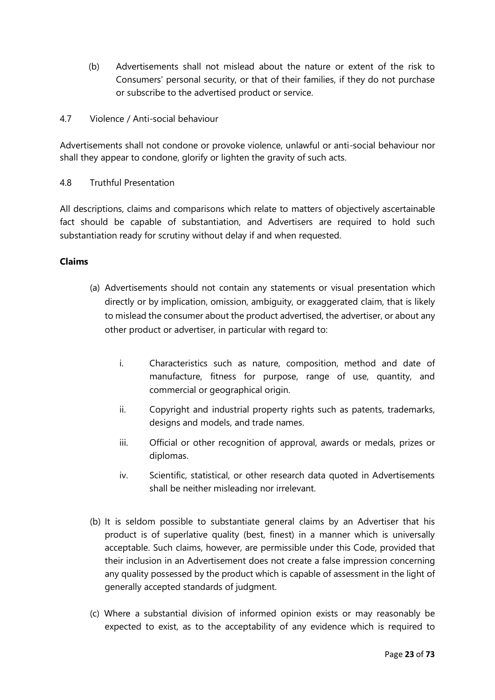- (b) Advertisements shall not mislead about the nature or extent of the risk to Consumers' personal security, or that of their families, if they do not purchase or subscribe to the advertised product or service.
- 4.7 Violence / Anti-social behaviour

Advertisements shall not condone or provoke violence, unlawful or anti-social behaviour nor shall they appear to condone, glorify or lighten the gravity of such acts.

4.8 Truthful Presentation

All descriptions, claims and comparisons which relate to matters of objectively ascertainable fact should be capable of substantiation, and Advertisers are required to hold such substantiation ready for scrutiny without delay if and when requested.

#### **Claims**

- (a) Advertisements should not contain any statements or visual presentation which directly or by implication, omission, ambiguity, or exaggerated claim, that is likely to mislead the consumer about the product advertised, the advertiser, or about any other product or advertiser, in particular with regard to:
	- i. Characteristics such as nature, composition, method and date of manufacture, fitness for purpose, range of use, quantity, and commercial or geographical origin.
	- ii. Copyright and industrial property rights such as patents, trademarks, designs and models, and trade names.
	- iii. Official or other recognition of approval, awards or medals, prizes or diplomas.
	- iv. Scientific, statistical, or other research data quoted in Advertisements shall be neither misleading nor irrelevant.
- (b) It is seldom possible to substantiate general claims by an Advertiser that his product is of superlative quality (best, finest) in a manner which is universally acceptable. Such claims, however, are permissible under this Code, provided that their inclusion in an Advertisement does not create a false impression concerning any quality possessed by the product which is capable of assessment in the light of generally accepted standards of judgment.
- (c) Where a substantial division of informed opinion exists or may reasonably be expected to exist, as to the acceptability of any evidence which is required to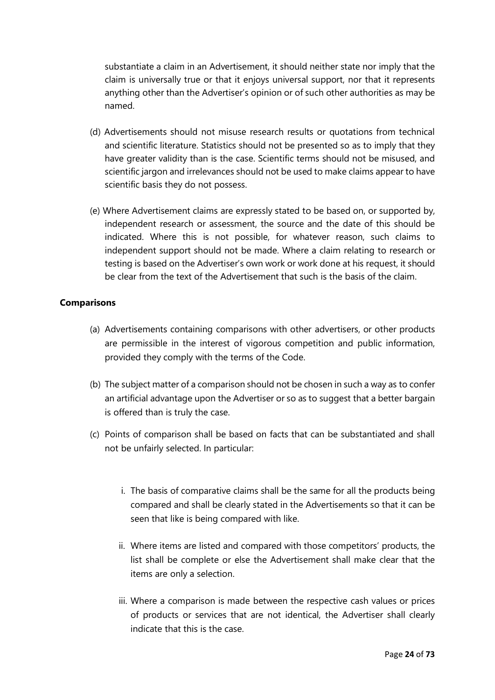substantiate a claim in an Advertisement, it should neither state nor imply that the claim is universally true or that it enjoys universal support, nor that it represents anything other than the Advertiser's opinion or of such other authorities as may be named.

- (d) Advertisements should not misuse research results or quotations from technical and scientific literature. Statistics should not be presented so as to imply that they have greater validity than is the case. Scientific terms should not be misused, and scientific jargon and irrelevances should not be used to make claims appear to have scientific basis they do not possess.
- (e) Where Advertisement claims are expressly stated to be based on, or supported by, independent research or assessment, the source and the date of this should be indicated. Where this is not possible, for whatever reason, such claims to independent support should not be made. Where a claim relating to research or testing is based on the Advertiser's own work or work done at his request, it should be clear from the text of the Advertisement that such is the basis of the claim.

#### **Comparisons**

- (a) Advertisements containing comparisons with other advertisers, or other products are permissible in the interest of vigorous competition and public information, provided they comply with the terms of the Code.
- (b) The subject matter of a comparison should not be chosen in such a way as to confer an artificial advantage upon the Advertiser or so as to suggest that a better bargain is offered than is truly the case.
- (c) Points of comparison shall be based on facts that can be substantiated and shall not be unfairly selected. In particular:
	- i. The basis of comparative claims shall be the same for all the products being compared and shall be clearly stated in the Advertisements so that it can be seen that like is being compared with like.
	- ii. Where items are listed and compared with those competitors' products, the list shall be complete or else the Advertisement shall make clear that the items are only a selection.
	- iii. Where a comparison is made between the respective cash values or prices of products or services that are not identical, the Advertiser shall clearly indicate that this is the case.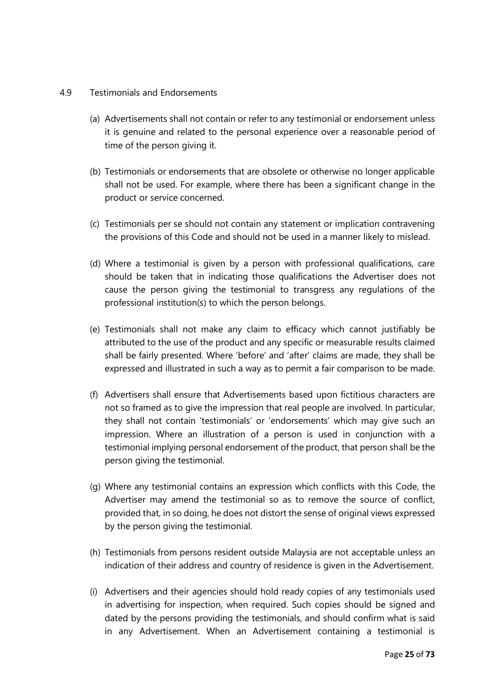#### 4.9 Testimonials and Endorsements

- (a) Advertisements shall not contain or refer to any testimonial or endorsement unless it is genuine and related to the personal experience over a reasonable period of time of the person giving it.
- (b) Testimonials or endorsements that are obsolete or otherwise no longer applicable shall not be used. For example, where there has been a significant change in the product or service concerned.
- (c) Testimonials per se should not contain any statement or implication contravening the provisions of this Code and should not be used in a manner likely to mislead.
- (d) Where a testimonial is given by a person with professional qualifications, care should be taken that in indicating those qualifications the Advertiser does not cause the person giving the testimonial to transgress any regulations of the professional institution(s) to which the person belongs.
- (e) Testimonials shall not make any claim to efficacy which cannot justifiably be attributed to the use of the product and any specific or measurable results claimed shall be fairly presented. Where 'before' and 'after' claims are made, they shall be expressed and illustrated in such a way as to permit a fair comparison to be made.
- (f) Advertisers shall ensure that Advertisements based upon fictitious characters are not so framed as to give the impression that real people are involved. In particular, they shall not contain 'testimonials' or 'endorsements' which may give such an impression. Where an illustration of a person is used in conjunction with a testimonial implying personal endorsement of the product, that person shall be the person giving the testimonial.
- (g) Where any testimonial contains an expression which conflicts with this Code, the Advertiser may amend the testimonial so as to remove the source of conflict, provided that, in so doing, he does not distort the sense of original views expressed by the person giving the testimonial.
- (h) Testimonials from persons resident outside Malaysia are not acceptable unless an indication of their address and country of residence is given in the Advertisement.
- (i) Advertisers and their agencies should hold ready copies of any testimonials used in advertising for inspection, when required. Such copies should be signed and dated by the persons providing the testimonials, and should confirm what is said in any Advertisement. When an Advertisement containing a testimonial is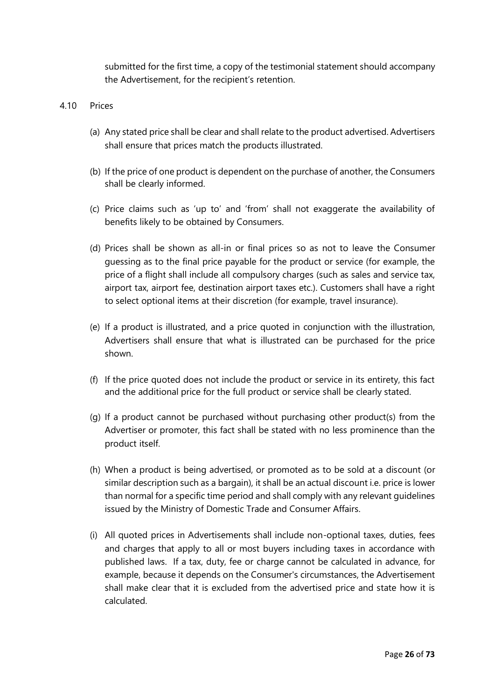submitted for the first time, a copy of the testimonial statement should accompany the Advertisement, for the recipient's retention.

#### 4.10 Prices

- (a) Any stated price shall be clear and shall relate to the product advertised. Advertisers shall ensure that prices match the products illustrated.
- (b) If the price of one product is dependent on the purchase of another, the Consumers shall be clearly informed.
- (c) Price claims such as 'up to' and 'from' shall not exaggerate the availability of benefits likely to be obtained by Consumers.
- (d) Prices shall be shown as all-in or final prices so as not to leave the Consumer guessing as to the final price payable for the product or service (for example, the price of a flight shall include all compulsory charges (such as sales and service tax, airport tax, airport fee, destination airport taxes etc.). Customers shall have a right to select optional items at their discretion (for example, travel insurance).
- (e) If a product is illustrated, and a price quoted in conjunction with the illustration, Advertisers shall ensure that what is illustrated can be purchased for the price shown.
- (f) If the price quoted does not include the product or service in its entirety, this fact and the additional price for the full product or service shall be clearly stated.
- (g) If a product cannot be purchased without purchasing other product(s) from the Advertiser or promoter, this fact shall be stated with no less prominence than the product itself.
- (h) When a product is being advertised, or promoted as to be sold at a discount (or similar description such as a bargain), it shall be an actual discount i.e. price is lower than normal for a specific time period and shall comply with any relevant guidelines issued by the Ministry of Domestic Trade and Consumer Affairs.
- (i) All quoted prices in Advertisements shall include non-optional taxes, duties, fees and charges that apply to all or most buyers including taxes in accordance with published laws. If a tax, duty, fee or charge cannot be calculated in advance, for example, because it depends on the Consumer's circumstances, the Advertisement shall make clear that it is excluded from the advertised price and state how it is calculated.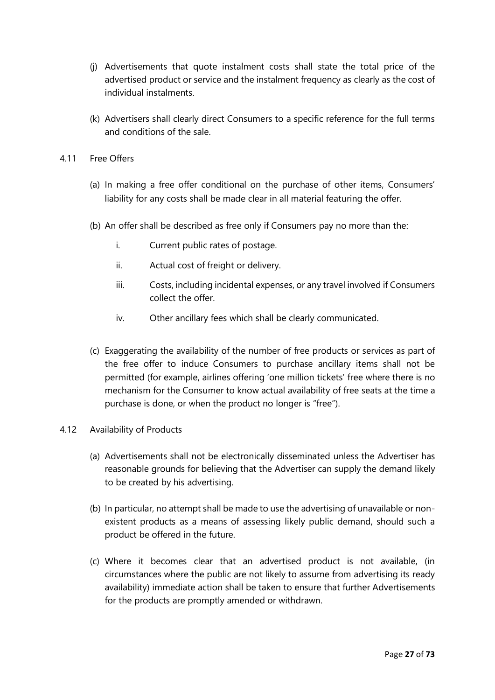- (j) Advertisements that quote instalment costs shall state the total price of the advertised product or service and the instalment frequency as clearly as the cost of individual instalments.
- (k) Advertisers shall clearly direct Consumers to a specific reference for the full terms and conditions of the sale.
- 4.11 Free Offers
	- (a) In making a free offer conditional on the purchase of other items, Consumers' liability for any costs shall be made clear in all material featuring the offer.
	- (b) An offer shall be described as free only if Consumers pay no more than the:
		- i. Current public rates of postage.
		- ii. Actual cost of freight or delivery.
		- iii. Costs, including incidental expenses, or any travel involved if Consumers collect the offer.
		- iv. Other ancillary fees which shall be clearly communicated.
	- (c) Exaggerating the availability of the number of free products or services as part of the free offer to induce Consumers to purchase ancillary items shall not be permitted (for example, airlines offering 'one million tickets' free where there is no mechanism for the Consumer to know actual availability of free seats at the time a purchase is done, or when the product no longer is "free").

#### 4.12 Availability of Products

- (a) Advertisements shall not be electronically disseminated unless the Advertiser has reasonable grounds for believing that the Advertiser can supply the demand likely to be created by his advertising.
- (b) In particular, no attempt shall be made to use the advertising of unavailable or nonexistent products as a means of assessing likely public demand, should such a product be offered in the future.
- (c) Where it becomes clear that an advertised product is not available, (in circumstances where the public are not likely to assume from advertising its ready availability) immediate action shall be taken to ensure that further Advertisements for the products are promptly amended or withdrawn.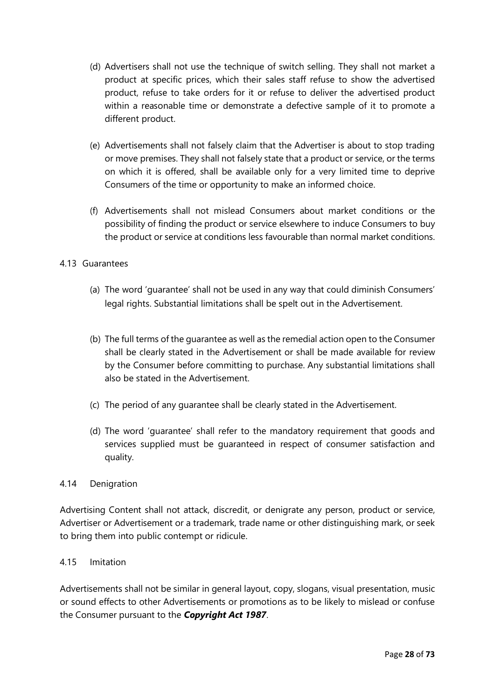- (d) Advertisers shall not use the technique of switch selling. They shall not market a product at specific prices, which their sales staff refuse to show the advertised product, refuse to take orders for it or refuse to deliver the advertised product within a reasonable time or demonstrate a defective sample of it to promote a different product.
- (e) Advertisements shall not falsely claim that the Advertiser is about to stop trading or move premises. They shall not falsely state that a product or service, or the terms on which it is offered, shall be available only for a very limited time to deprive Consumers of the time or opportunity to make an informed choice.
- (f) Advertisements shall not mislead Consumers about market conditions or the possibility of finding the product or service elsewhere to induce Consumers to buy the product or service at conditions less favourable than normal market conditions.

#### 4.13 Guarantees

- (a) The word 'guarantee' shall not be used in any way that could diminish Consumers' legal rights. Substantial limitations shall be spelt out in the Advertisement.
- (b) The full terms of the guarantee as well as the remedial action open to the Consumer shall be clearly stated in the Advertisement or shall be made available for review by the Consumer before committing to purchase. Any substantial limitations shall also be stated in the Advertisement.
- (c) The period of any guarantee shall be clearly stated in the Advertisement.
- (d) The word 'guarantee' shall refer to the mandatory requirement that goods and services supplied must be guaranteed in respect of consumer satisfaction and quality.

#### 4.14 Denigration

Advertising Content shall not attack, discredit, or denigrate any person, product or service, Advertiser or Advertisement or a trademark, trade name or other distinguishing mark, or seek to bring them into public contempt or ridicule.

#### 4.15 Imitation

Advertisements shall not be similar in general layout, copy, slogans, visual presentation, music or sound effects to other Advertisements or promotions as to be likely to mislead or confuse the Consumer pursuant to the *Copyright Act 1987*.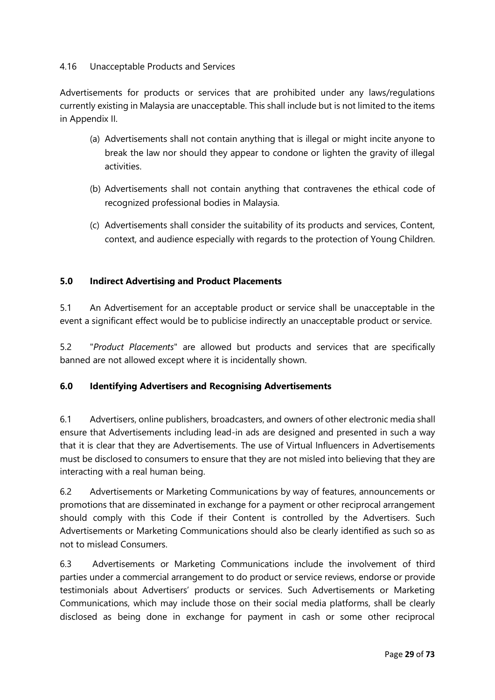#### 4.16 Unacceptable Products and Services

Advertisements for products or services that are prohibited under any laws/regulations currently existing in Malaysia are unacceptable. This shall include but is not limited to the items in Appendix II.

- (a) Advertisements shall not contain anything that is illegal or might incite anyone to break the law nor should they appear to condone or lighten the gravity of illegal activities.
- (b) Advertisements shall not contain anything that contravenes the ethical code of recognized professional bodies in Malaysia.
- (c) Advertisements shall consider the suitability of its products and services, Content, context, and audience especially with regards to the protection of Young Children.

#### **5.0 Indirect Advertising and Product Placements**

5.1 An Advertisement for an acceptable product or service shall be unacceptable in the event a significant effect would be to publicise indirectly an unacceptable product or service.

5.2 "*Product Placements*" are allowed but products and services that are specifically banned are not allowed except where it is incidentally shown.

#### **6.0 Identifying Advertisers and Recognising Advertisements**

6.1 Advertisers, online publishers, broadcasters, and owners of other electronic media shall ensure that Advertisements including lead-in ads are designed and presented in such a way that it is clear that they are Advertisements. The use of Virtual Influencers in Advertisements must be disclosed to consumers to ensure that they are not misled into believing that they are interacting with a real human being.

6.2 Advertisements or Marketing Communications by way of features, announcements or promotions that are disseminated in exchange for a payment or other reciprocal arrangement should comply with this Code if their Content is controlled by the Advertisers. Such Advertisements or Marketing Communications should also be clearly identified as such so as not to mislead Consumers.

6.3 Advertisements or Marketing Communications include the involvement of third parties under a commercial arrangement to do product or service reviews, endorse or provide testimonials about Advertisers' products or services. Such Advertisements or Marketing Communications, which may include those on their social media platforms, shall be clearly disclosed as being done in exchange for payment in cash or some other reciprocal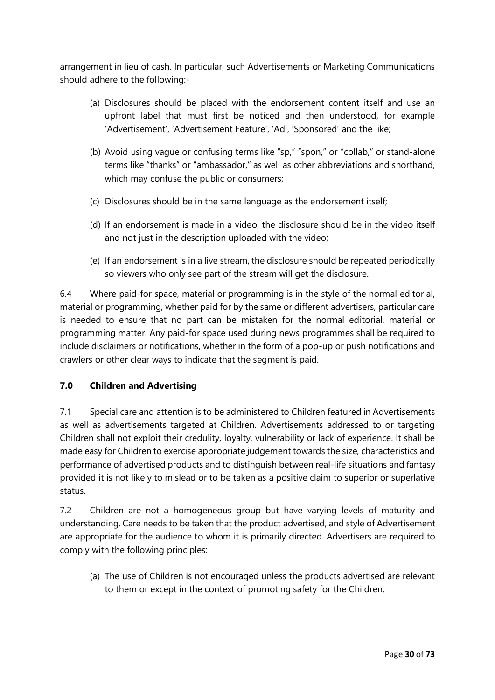arrangement in lieu of cash. In particular, such Advertisements or Marketing Communications should adhere to the following:-

- (a) Disclosures should be placed with the endorsement content itself and use an upfront label that must first be noticed and then understood, for example 'Advertisement', 'Advertisement Feature', 'Ad', 'Sponsored' and the like;
- (b) Avoid using vague or confusing terms like "sp," "spon," or "collab," or stand-alone terms like "thanks" or "ambassador," as well as other abbreviations and shorthand, which may confuse the public or consumers;
- (c) Disclosures should be in the same language as the endorsement itself;
- (d) If an endorsement is made in a video, the disclosure should be in the video itself and not just in the description uploaded with the video;
- (e) If an endorsement is in a live stream, the disclosure should be repeated periodically so viewers who only see part of the stream will get the disclosure.

6.4 Where paid-for space, material or programming is in the style of the normal editorial, material or programming, whether paid for by the same or different advertisers, particular care is needed to ensure that no part can be mistaken for the normal editorial, material or programming matter. Any paid-for space used during news programmes shall be required to include disclaimers or notifications, whether in the form of a pop-up or push notifications and crawlers or other clear ways to indicate that the segment is paid.

#### **7.0 Children and Advertising**

7.1 Special care and attention is to be administered to Children featured in Advertisements as well as advertisements targeted at Children. Advertisements addressed to or targeting Children shall not exploit their credulity, loyalty, vulnerability or lack of experience. It shall be made easy for Children to exercise appropriate judgement towards the size, characteristics and performance of advertised products and to distinguish between real-life situations and fantasy provided it is not likely to mislead or to be taken as a positive claim to superior or superlative status.

7.2 Children are not a homogeneous group but have varying levels of maturity and understanding. Care needs to be taken that the product advertised, and style of Advertisement are appropriate for the audience to whom it is primarily directed. Advertisers are required to comply with the following principles:

(a) The use of Children is not encouraged unless the products advertised are relevant to them or except in the context of promoting safety for the Children.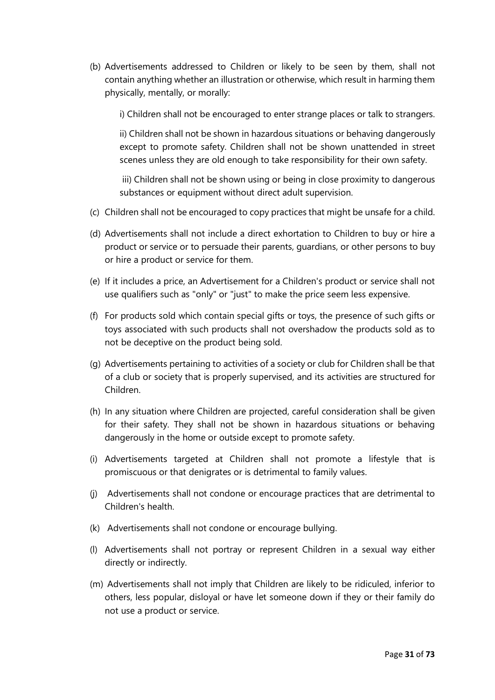(b) Advertisements addressed to Children or likely to be seen by them, shall not contain anything whether an illustration or otherwise, which result in harming them physically, mentally, or morally:

i) Children shall not be encouraged to enter strange places or talk to strangers.

ii) Children shall not be shown in hazardous situations or behaving dangerously except to promote safety. Children shall not be shown unattended in street scenes unless they are old enough to take responsibility for their own safety.

iii) Children shall not be shown using or being in close proximity to dangerous substances or equipment without direct adult supervision.

- (c) Children shall not be encouraged to copy practices that might be unsafe for a child.
- (d) Advertisements shall not include a direct exhortation to Children to buy or hire a product or service or to persuade their parents, guardians, or other persons to buy or hire a product or service for them.
- (e) If it includes a price, an Advertisement for a Children's product or service shall not use qualifiers such as "only" or "just" to make the price seem less expensive.
- (f) For products sold which contain special gifts or toys, the presence of such gifts or toys associated with such products shall not overshadow the products sold as to not be deceptive on the product being sold.
- (g) Advertisements pertaining to activities of a society or club for Children shall be that of a club or society that is properly supervised, and its activities are structured for Children.
- (h) In any situation where Children are projected, careful consideration shall be given for their safety. They shall not be shown in hazardous situations or behaving dangerously in the home or outside except to promote safety.
- (i) Advertisements targeted at Children shall not promote a lifestyle that is promiscuous or that denigrates or is detrimental to family values.
- (j) Advertisements shall not condone or encourage practices that are detrimental to Children's health.
- (k) Advertisements shall not condone or encourage bullying.
- (l) Advertisements shall not portray or represent Children in a sexual way either directly or indirectly.
- (m) Advertisements shall not imply that Children are likely to be ridiculed, inferior to others, less popular, disloyal or have let someone down if they or their family do not use a product or service.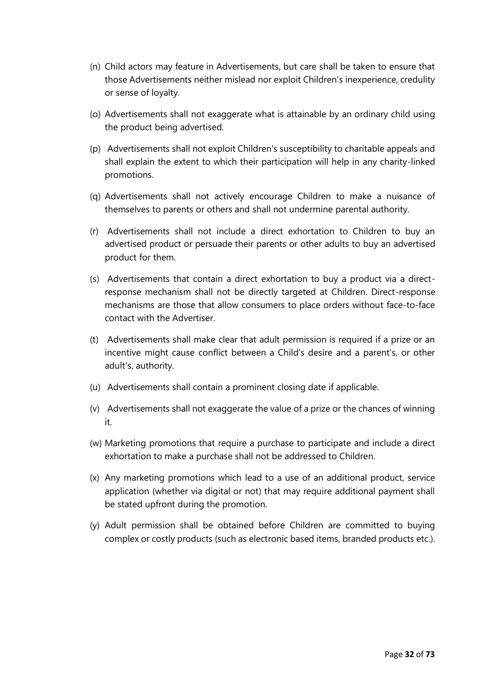- (n) Child actors may feature in Advertisements, but care shall be taken to ensure that those Advertisements neither mislead nor exploit Children's inexperience, credulity or sense of loyalty.
- (o) Advertisements shall not exaggerate what is attainable by an ordinary child using the product being advertised.
- (p) Advertisements shall not exploit Children's susceptibility to charitable appeals and shall explain the extent to which their participation will help in any charity-linked promotions.
- (q) Advertisements shall not actively encourage Children to make a nuisance of themselves to parents or others and shall not undermine parental authority.
- (r) Advertisements shall not include a direct exhortation to Children to buy an advertised product or persuade their parents or other adults to buy an advertised product for them.
- (s) Advertisements that contain a direct exhortation to buy a product via a directresponse mechanism shall not be directly targeted at Children. Direct-response mechanisms are those that allow consumers to place orders without face-to-face contact with the Advertiser.
- (t) Advertisements shall make clear that adult permission is required if a prize or an incentive might cause conflict between a Child's desire and a parent's, or other adult's, authority.
- (u) Advertisements shall contain a prominent closing date if applicable.
- (v) Advertisements shall not exaggerate the value of a prize or the chances of winning it.
- (w) Marketing promotions that require a purchase to participate and include a direct exhortation to make a purchase shall not be addressed to Children.
- (x) Any marketing promotions which lead to a use of an additional product, service application (whether via digital or not) that may require additional payment shall be stated upfront during the promotion.
- (y) Adult permission shall be obtained before Children are committed to buying complex or costly products (such as electronic based items, branded products etc.).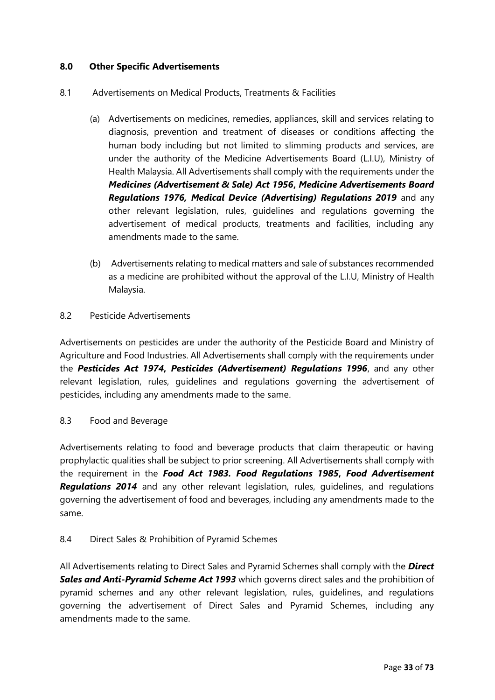#### **8.0 Other Specific Advertisements**

- 8.1 Advertisements on Medical Products, Treatments & Facilities
	- (a) Advertisements on medicines, remedies, appliances, skill and services relating to diagnosis, prevention and treatment of diseases or conditions affecting the human body including but not limited to slimming products and services, are under the authority of the Medicine Advertisements Board (L.I.U), Ministry of Health Malaysia. All Advertisements shall comply with the requirements under the *Medicines (Advertisement & Sale) Act 1956***,** *Medicine Advertisements Board Regulations 1976, Medical Device (Advertising) Regulations 2019* and any other relevant legislation, rules, guidelines and regulations governing the advertisement of medical products, treatments and facilities, including any amendments made to the same.
	- (b) Advertisements relating to medical matters and sale of substances recommended as a medicine are prohibited without the approval of the L.I.U, Ministry of Health Malaysia.

#### 8.2 Pesticide Advertisements

Advertisements on pesticides are under the authority of the Pesticide Board and Ministry of Agriculture and Food Industries. All Advertisements shall comply with the requirements under the *Pesticides Act 1974***,** *Pesticides (Advertisement) Regulations 1996*, and any other relevant legislation, rules, guidelines and regulations governing the advertisement of pesticides, including any amendments made to the same.

#### 8.3 Food and Beverage

Advertisements relating to food and beverage products that claim therapeutic or having prophylactic qualities shall be subject to prior screening. All Advertisements shall comply with the requirement in the *Food Act 1983. Food Regulations 1985***,** *Food Advertisement Regulations 2014* and any other relevant legislation, rules, guidelines, and regulations governing the advertisement of food and beverages, including any amendments made to the same.

#### 8.4 Direct Sales & Prohibition of Pyramid Schemes

All Advertisements relating to Direct Sales and Pyramid Schemes shall comply with the *Direct Sales and Anti-Pyramid Scheme Act 1993* which governs direct sales and the prohibition of pyramid schemes and any other relevant legislation, rules, guidelines, and regulations governing the advertisement of Direct Sales and Pyramid Schemes, including any amendments made to the same.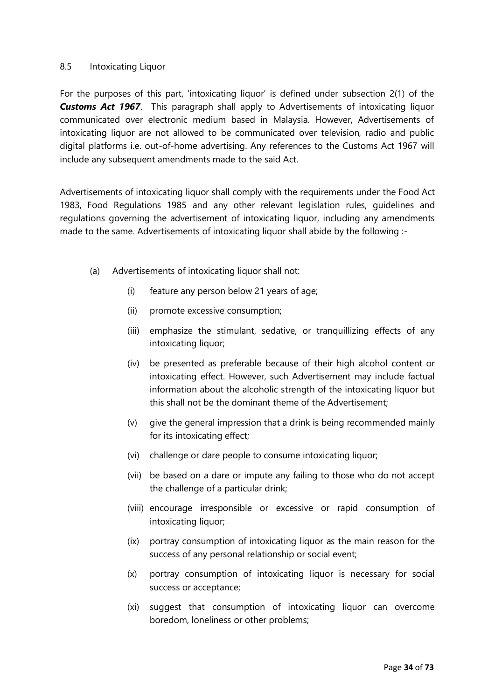#### 8.5 Intoxicating Liquor

For the purposes of this part, 'intoxicating liquor' is defined under subsection 2(1) of the **Customs Act 1967**. This paragraph shall apply to Advertisements of intoxicating liquor communicated over electronic medium based in Malaysia. However, Advertisements of intoxicating liquor are not allowed to be communicated over television, radio and public digital platforms i.e. out-of-home advertising. Any references to the Customs Act 1967 will include any subsequent amendments made to the said Act.

Advertisements of intoxicating liquor shall comply with the requirements under the Food Act 1983, Food Regulations 1985 and any other relevant legislation rules, guidelines and regulations governing the advertisement of intoxicating liquor, including any amendments made to the same. Advertisements of intoxicating liquor shall abide by the following :-

- (a) Advertisements of intoxicating liquor shall not:
	- (i) feature any person below 21 years of age;
	- (ii) promote excessive consumption;
	- (iii) emphasize the stimulant, sedative, or tranquillizing effects of any intoxicating liquor;
	- (iv) be presented as preferable because of their high alcohol content or intoxicating effect. However, such Advertisement may include factual information about the alcoholic strength of the intoxicating liquor but this shall not be the dominant theme of the Advertisement;
	- (v) give the general impression that a drink is being recommended mainly for its intoxicating effect;
	- (vi) challenge or dare people to consume intoxicating liquor;
	- (vii) be based on a dare or impute any failing to those who do not accept the challenge of a particular drink;
	- (viii) encourage irresponsible or excessive or rapid consumption of intoxicating liquor;
	- (ix) portray consumption of intoxicating liquor as the main reason for the success of any personal relationship or social event;
	- (x) portray consumption of intoxicating liquor is necessary for social success or acceptance;
	- (xi) suggest that consumption of intoxicating liquor can overcome boredom, loneliness or other problems;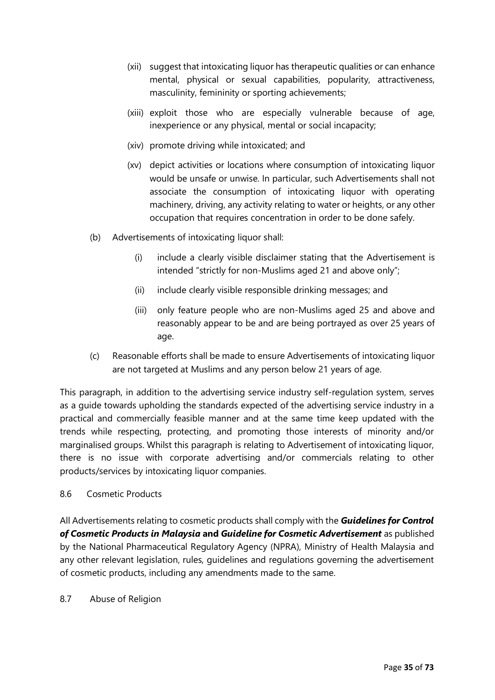- (xii) suggest that intoxicating liquor has therapeutic qualities or can enhance mental, physical or sexual capabilities, popularity, attractiveness, masculinity, femininity or sporting achievements;
- (xiii) exploit those who are especially vulnerable because of age, inexperience or any physical, mental or social incapacity;
- (xiv) promote driving while intoxicated; and
- (xv) depict activities or locations where consumption of intoxicating liquor would be unsafe or unwise. In particular, such Advertisements shall not associate the consumption of intoxicating liquor with operating machinery, driving, any activity relating to water or heights, or any other occupation that requires concentration in order to be done safely.
- (b) Advertisements of intoxicating liquor shall:
	- (i) include a clearly visible disclaimer stating that the Advertisement is intended "strictly for non-Muslims aged 21 and above only";
	- (ii) include clearly visible responsible drinking messages; and
	- (iii) only feature people who are non-Muslims aged 25 and above and reasonably appear to be and are being portrayed as over 25 years of age.
- (c) Reasonable efforts shall be made to ensure Advertisements of intoxicating liquor are not targeted at Muslims and any person below 21 years of age.

This paragraph, in addition to the advertising service industry self-regulation system, serves as a guide towards upholding the standards expected of the advertising service industry in a practical and commercially feasible manner and at the same time keep updated with the trends while respecting, protecting, and promoting those interests of minority and/or marginalised groups. Whilst this paragraph is relating to Advertisement of intoxicating liquor, there is no issue with corporate advertising and/or commercials relating to other products/services by intoxicating liquor companies.

#### 8.6 Cosmetic Products

All Advertisements relating to cosmetic products shall comply with the *Guidelines for Control of Cosmetic Products in Malaysia* **and** *Guideline for Cosmetic Advertisement* as published by the National Pharmaceutical Regulatory Agency (NPRA), Ministry of Health Malaysia and any other relevant legislation, rules, guidelines and regulations governing the advertisement of cosmetic products, including any amendments made to the same.

#### 8.7 Abuse of Religion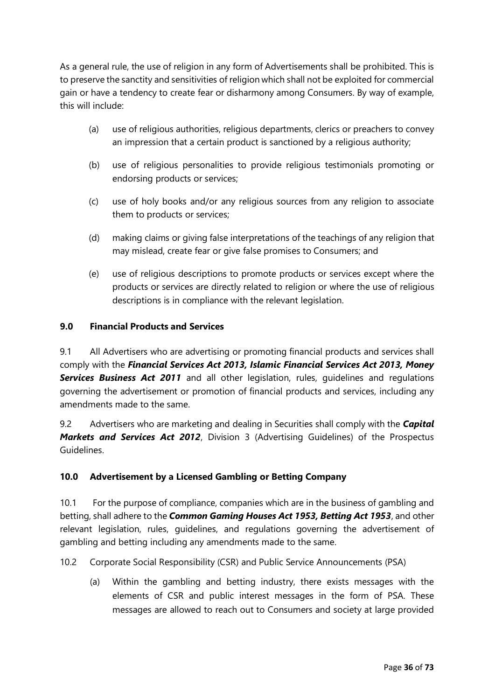As a general rule, the use of religion in any form of Advertisements shall be prohibited. This is to preserve the sanctity and sensitivities of religion which shall not be exploited for commercial gain or have a tendency to create fear or disharmony among Consumers. By way of example, this will include:

- (a) use of religious authorities, religious departments, clerics or preachers to convey an impression that a certain product is sanctioned by a religious authority;
- (b) use of religious personalities to provide religious testimonials promoting or endorsing products or services;
- (c) use of holy books and/or any religious sources from any religion to associate them to products or services;
- (d) making claims or giving false interpretations of the teachings of any religion that may mislead, create fear or give false promises to Consumers; and
- (e) use of religious descriptions to promote products or services except where the products or services are directly related to religion or where the use of religious descriptions is in compliance with the relevant legislation.

### **9.0 Financial Products and Services**

9.1 All Advertisers who are advertising or promoting financial products and services shall comply with the *Financial Services Act 2013, Islamic Financial Services Act 2013, Money Services Business Act 2011* and all other legislation, rules, guidelines and regulations governing the advertisement or promotion of financial products and services, including any amendments made to the same.

9.2 Advertisers who are marketing and dealing in Securities shall comply with the *Capital Markets and Services Act 2012*, Division 3 (Advertising Guidelines) of the Prospectus Guidelines.

### **10.0 Advertisement by a Licensed Gambling or Betting Company**

10.1 For the purpose of compliance, companies which are in the business of gambling and betting, shall adhere to the *Common Gaming Houses Act 1953, Betting Act 1953*, and other relevant legislation, rules, guidelines, and regulations governing the advertisement of gambling and betting including any amendments made to the same.

10.2 Corporate Social Responsibility (CSR) and Public Service Announcements (PSA)

(a) Within the gambling and betting industry, there exists messages with the elements of CSR and public interest messages in the form of PSA. These messages are allowed to reach out to Consumers and society at large provided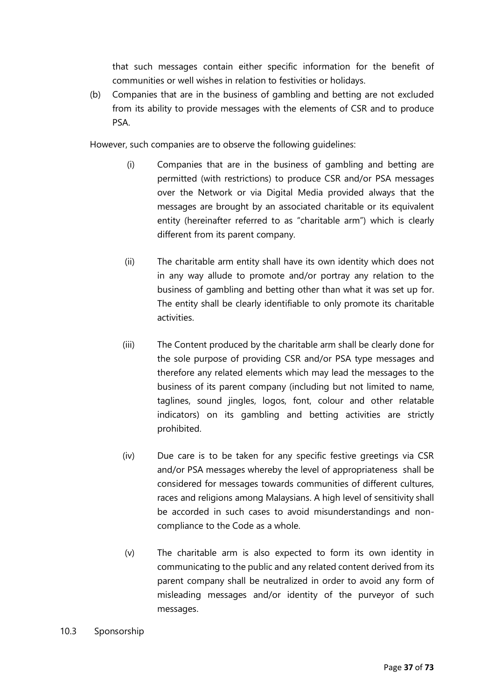that such messages contain either specific information for the benefit of communities or well wishes in relation to festivities or holidays.

(b) Companies that are in the business of gambling and betting are not excluded from its ability to provide messages with the elements of CSR and to produce PSA.

However, such companies are to observe the following guidelines:

- (i) Companies that are in the business of gambling and betting are permitted (with restrictions) to produce CSR and/or PSA messages over the Network or via Digital Media provided always that the messages are brought by an associated charitable or its equivalent entity (hereinafter referred to as "charitable arm") which is clearly different from its parent company.
- (ii) The charitable arm entity shall have its own identity which does not in any way allude to promote and/or portray any relation to the business of gambling and betting other than what it was set up for. The entity shall be clearly identifiable to only promote its charitable activities.
- (iii) The Content produced by the charitable arm shall be clearly done for the sole purpose of providing CSR and/or PSA type messages and therefore any related elements which may lead the messages to the business of its parent company (including but not limited to name, taglines, sound jingles, logos, font, colour and other relatable indicators) on its gambling and betting activities are strictly prohibited.
- (iv) Due care is to be taken for any specific festive greetings via CSR and/or PSA messages whereby the level of appropriateness shall be considered for messages towards communities of different cultures, races and religions among Malaysians. A high level of sensitivity shall be accorded in such cases to avoid misunderstandings and noncompliance to the Code as a whole.
- (v) The charitable arm is also expected to form its own identity in communicating to the public and any related content derived from its parent company shall be neutralized in order to avoid any form of misleading messages and/or identity of the purveyor of such messages.
- 10.3 Sponsorship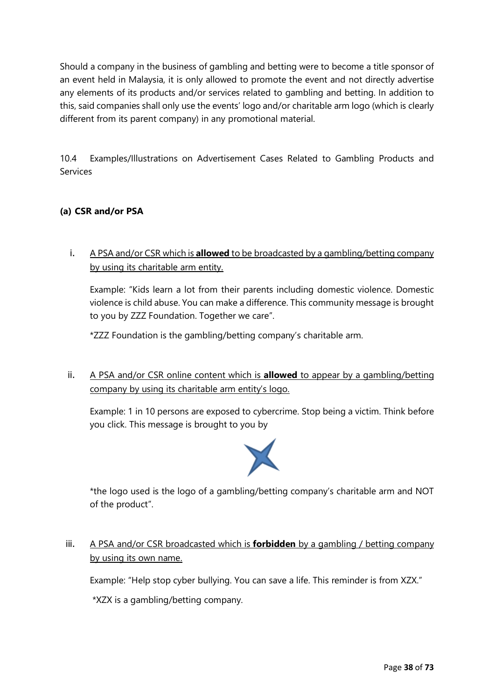Should a company in the business of gambling and betting were to become a title sponsor of an event held in Malaysia, it is only allowed to promote the event and not directly advertise any elements of its products and/or services related to gambling and betting. In addition to this, said companies shall only use the events' logo and/or charitable arm logo (which is clearly different from its parent company) in any promotional material.

10.4 Examples/Illustrations on Advertisement Cases Related to Gambling Products and Services

# **(a) CSR and/or PSA**

i. A PSA and/or CSR which is **allowed** to be broadcasted by a gambling/betting company by using its charitable arm entity.

Example: "Kids learn a lot from their parents including domestic violence. Domestic violence is child abuse. You can make a difference. This community message is brought to you by ZZZ Foundation. Together we care".

\*ZZZ Foundation is the gambling/betting company's charitable arm.

ii. A PSA and/or CSR online content which is **allowed** to appear by a gambling/betting company by using its charitable arm entity's logo.

Example: 1 in 10 persons are exposed to cybercrime. Stop being a victim. Think before you click. This message is brought to you by



\*the logo used is the logo of a gambling/betting company's charitable arm and NOT of the product".

iii. A PSA and/or CSR broadcasted which is **forbidden** by a gambling / betting company by using its own name.

Example: "Help stop cyber bullying. You can save a life. This reminder is from XZX."

\*XZX is a gambling/betting company.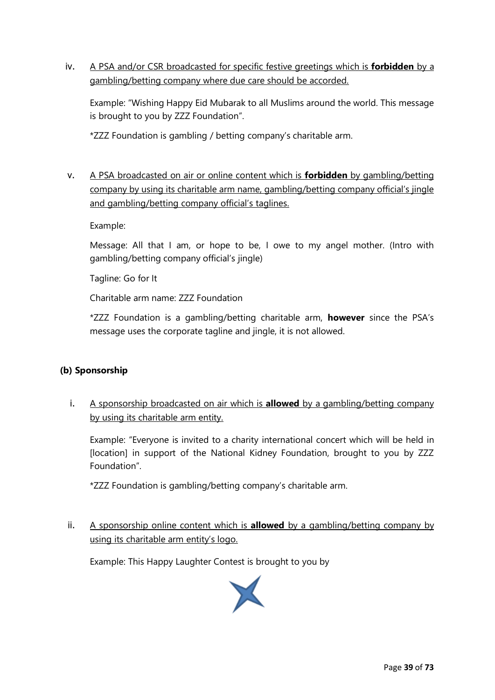iv. A PSA and/or CSR broadcasted for specific festive greetings which is **forbidden** by a gambling/betting company where due care should be accorded.

Example: "Wishing Happy Eid Mubarak to all Muslims around the world. This message is brought to you by ZZZ Foundation".

\*ZZZ Foundation is gambling / betting company's charitable arm.

v. A PSA broadcasted on air or online content which is **forbidden** by gambling/betting company by using its charitable arm name, gambling/betting company official's jingle and gambling/betting company official's taglines.

Example:

Message: All that I am, or hope to be, I owe to my angel mother. (Intro with gambling/betting company official's jingle)

Tagline: Go for It

Charitable arm name: ZZZ Foundation

\*ZZZ Foundation is a gambling/betting charitable arm, **however** since the PSA's message uses the corporate tagline and jingle, it is not allowed.

### **(b) Sponsorship**

i. A sponsorship broadcasted on air which is **allowed** by a gambling/betting company by using its charitable arm entity.

Example: "Everyone is invited to a charity international concert which will be held in [location] in support of the National Kidney Foundation, brought to you by ZZZ Foundation".

\*ZZZ Foundation is gambling/betting company's charitable arm.

ii. A sponsorship online content which is **allowed** by a gambling/betting company by using its charitable arm entity's logo.

Example: This Happy Laughter Contest is brought to you by

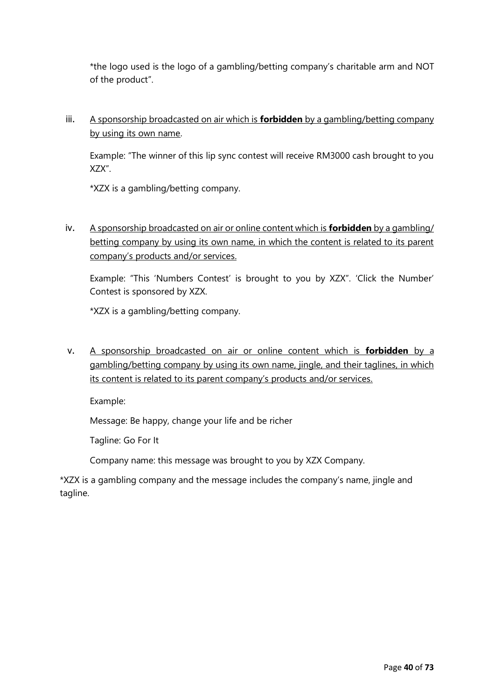\*the logo used is the logo of a gambling/betting company's charitable arm and NOT of the product".

iii. A sponsorship broadcasted on air which is **forbidden** by a gambling/betting company by using its own name.

Example: "The winner of this lip sync contest will receive RM3000 cash brought to you XZX".

\*XZX is a gambling/betting company.

iv. A sponsorship broadcasted on air or online content which is **forbidden** by a gambling/ betting company by using its own name, in which the content is related to its parent company's products and/or services.

Example: "This 'Numbers Contest' is brought to you by XZX". 'Click the Number' Contest is sponsored by XZX.

\*XZX is a gambling/betting company.

v. A sponsorship broadcasted on air or online content which is **forbidden** by a gambling/betting company by using its own name, jingle, and their taglines, in which its content is related to its parent company's products and/or services.

Example:

Message: Be happy, change your life and be richer

Tagline: Go For It

Company name: this message was brought to you by XZX Company.

\*XZX is a gambling company and the message includes the company's name, jingle and tagline.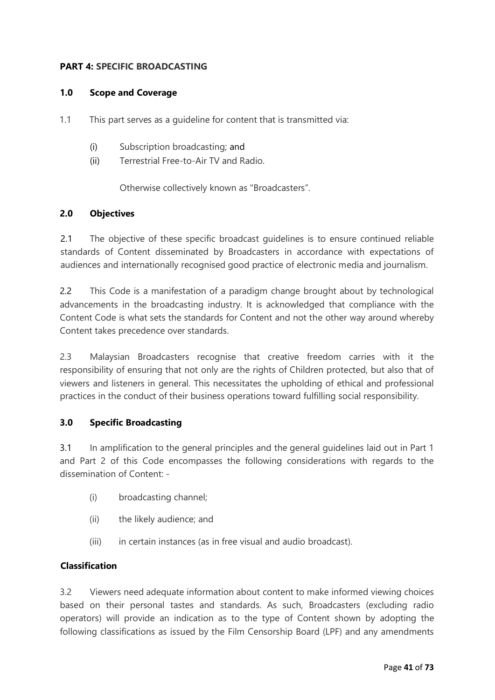#### **PART 4: SPECIFIC BROADCASTING**

#### **1.0 Scope and Coverage**

- 1.1 This part serves as a guideline for content that is transmitted via:
	- (i) Subscription broadcasting; and
	- (ii) Terrestrial Free-to-Air TV and Radio.

Otherwise collectively known as "Broadcasters".

#### **2.0 Objectives**

2.1 The objective of these specific broadcast guidelines is to ensure continued reliable standards of Content disseminated by Broadcasters in accordance with expectations of audiences and internationally recognised good practice of electronic media and journalism.

2.2 This Code is a manifestation of a paradigm change brought about by technological advancements in the broadcasting industry. It is acknowledged that compliance with the Content Code is what sets the standards for Content and not the other way around whereby Content takes precedence over standards.

2.3 Malaysian Broadcasters recognise that creative freedom carries with it the responsibility of ensuring that not only are the rights of Children protected, but also that of viewers and listeners in general. This necessitates the upholding of ethical and professional practices in the conduct of their business operations toward fulfilling social responsibility.

### **3.0 Specific Broadcasting**

3.1 In amplification to the general principles and the general guidelines laid out in Part 1 and Part 2 of this Code encompasses the following considerations with regards to the dissemination of Content: -

- (i) broadcasting channel;
- (ii) the likely audience; and
- (iii) in certain instances (as in free visual and audio broadcast).

#### **Classification**

3.2 Viewers need adequate information about content to make informed viewing choices based on their personal tastes and standards. As such, Broadcasters (excluding radio operators) will provide an indication as to the type of Content shown by adopting the following classifications as issued by the Film Censorship Board (LPF) and any amendments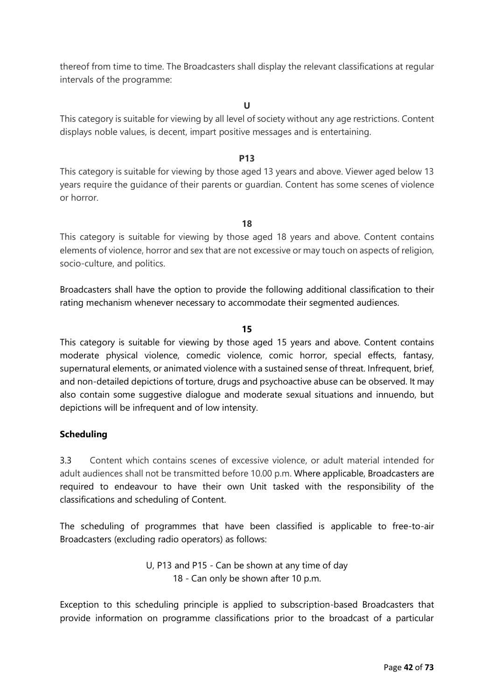thereof from time to time. The Broadcasters shall display the relevant classifications at regular intervals of the programme:

**U**

This category is suitable for viewing by all level of society without any age restrictions. Content displays noble values, is decent, impart positive messages and is entertaining.

#### **P13**

This category is suitable for viewing by those aged 13 years and above. Viewer aged below 13 years require the guidance of their parents or guardian. Content has some scenes of violence or horror.

**18**

This category is suitable for viewing by those aged 18 years and above. Content contains elements of violence, horror and sex that are not excessive or may touch on aspects of religion, socio-culture, and politics.

Broadcasters shall have the option to provide the following additional classification to their rating mechanism whenever necessary to accommodate their segmented audiences.

#### **15**

This category is suitable for viewing by those aged 15 years and above. Content contains moderate physical violence, comedic violence, comic horror, special effects, fantasy, supernatural elements, or animated violence with a sustained sense of threat. Infrequent, brief, and non-detailed depictions of torture, drugs and psychoactive abuse can be observed. It may also contain some suggestive dialogue and moderate sexual situations and innuendo, but depictions will be infrequent and of low intensity.

#### **Scheduling**

3.3 Content which contains scenes of excessive violence, or adult material intended for adult audiences shall not be transmitted before 10.00 p.m. Where applicable, Broadcasters are required to endeavour to have their own Unit tasked with the responsibility of the classifications and scheduling of Content.

The scheduling of programmes that have been classified is applicable to free-to-air Broadcasters (excluding radio operators) as follows:

> U, P13 and P15 - Can be shown at any time of day 18 - Can only be shown after 10 p.m.

Exception to this scheduling principle is applied to subscription-based Broadcasters that provide information on programme classifications prior to the broadcast of a particular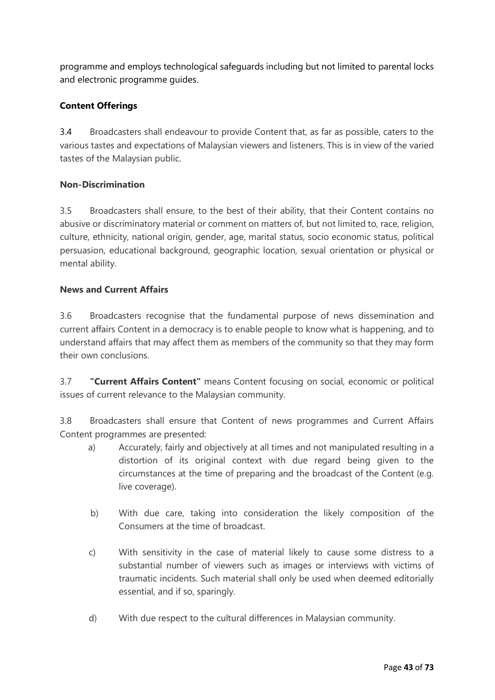programme and employs technological safeguards including but not limited to parental locks and electronic programme guides.

# **Content Offerings**

3.4 Broadcasters shall endeavour to provide Content that, as far as possible, caters to the various tastes and expectations of Malaysian viewers and listeners. This is in view of the varied tastes of the Malaysian public.

### **Non-Discrimination**

3.5 Broadcasters shall ensure, to the best of their ability, that their Content contains no abusive or discriminatory material or comment on matters of, but not limited to, race, religion, culture, ethnicity, national origin, gender, age, marital status, socio economic status, political persuasion, educational background, geographic location, sexual orientation or physical or mental ability.

#### **News and Current Affairs**

3.6 Broadcasters recognise that the fundamental purpose of news dissemination and current affairs Content in a democracy is to enable people to know what is happening, and to understand affairs that may affect them as members of the community so that they may form their own conclusions.

3.7 **"Current Affairs Content"** means Content focusing on social, economic or political issues of current relevance to the Malaysian community.

3.8 Broadcasters shall ensure that Content of news programmes and Current Affairs Content programmes are presented:

- a) Accurately, fairly and objectively at all times and not manipulated resulting in a distortion of its original context with due regard being given to the circumstances at the time of preparing and the broadcast of the Content (e.g. live coverage).
- b) With due care, taking into consideration the likely composition of the Consumers at the time of broadcast.
- c) With sensitivity in the case of material likely to cause some distress to a substantial number of viewers such as images or interviews with victims of traumatic incidents. Such material shall only be used when deemed editorially essential, and if so, sparingly.
- d) With due respect to the cultural differences in Malaysian community.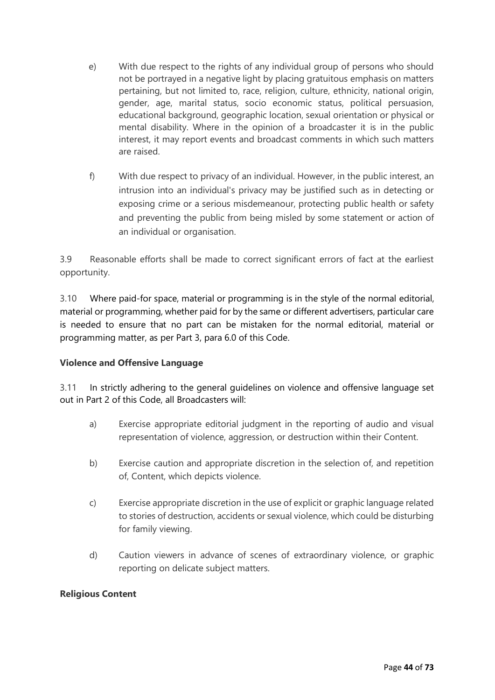- e) With due respect to the rights of any individual group of persons who should not be portrayed in a negative light by placing gratuitous emphasis on matters pertaining, but not limited to, race, religion, culture, ethnicity, national origin, gender, age, marital status, socio economic status, political persuasion, educational background, geographic location, sexual orientation or physical or mental disability. Where in the opinion of a broadcaster it is in the public interest, it may report events and broadcast comments in which such matters are raised.
- f) With due respect to privacy of an individual. However, in the public interest, an intrusion into an individual's privacy may be justified such as in detecting or exposing crime or a serious misdemeanour, protecting public health or safety and preventing the public from being misled by some statement or action of an individual or organisation.

3.9 Reasonable efforts shall be made to correct significant errors of fact at the earliest opportunity.

3.10 Where paid-for space, material or programming is in the style of the normal editorial, material or programming, whether paid for by the same or different advertisers, particular care is needed to ensure that no part can be mistaken for the normal editorial, material or programming matter, as per Part 3, para 6.0 of this Code.

### **Violence and Offensive Language**

3.11 In strictly adhering to the general guidelines on violence and offensive language set out in Part 2 of this Code, all Broadcasters will:

- a) Exercise appropriate editorial judgment in the reporting of audio and visual representation of violence, aggression, or destruction within their Content.
- b) Exercise caution and appropriate discretion in the selection of, and repetition of, Content, which depicts violence.
- c) Exercise appropriate discretion in the use of explicit or graphic language related to stories of destruction, accidents or sexual violence, which could be disturbing for family viewing.
- d) Caution viewers in advance of scenes of extraordinary violence, or graphic reporting on delicate subject matters.

### **Religious Content**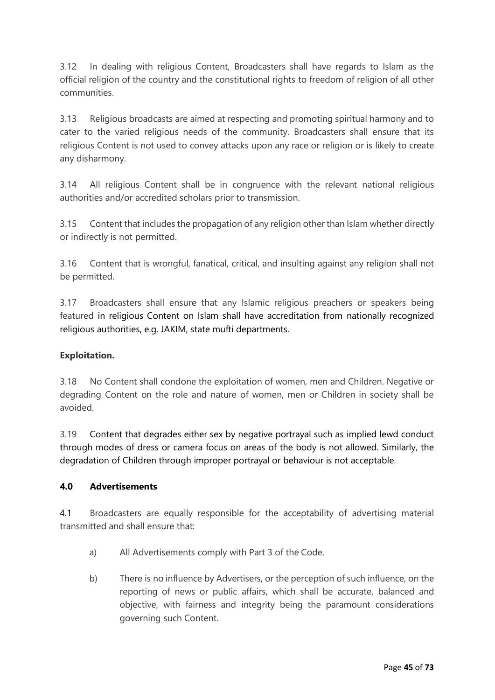3.12 In dealing with religious Content, Broadcasters shall have regards to Islam as the official religion of the country and the constitutional rights to freedom of religion of all other communities.

3.13 Religious broadcasts are aimed at respecting and promoting spiritual harmony and to cater to the varied religious needs of the community. Broadcasters shall ensure that its religious Content is not used to convey attacks upon any race or religion or is likely to create any disharmony.

3.14 All religious Content shall be in congruence with the relevant national religious authorities and/or accredited scholars prior to transmission.

3.15 Content that includes the propagation of any religion other than Islam whether directly or indirectly is not permitted.

3.16 Content that is wrongful, fanatical, critical, and insulting against any religion shall not be permitted.

3.17 Broadcasters shall ensure that any Islamic religious preachers or speakers being featured in religious Content on Islam shall have accreditation from nationally recognized religious authorities, e.g. JAKIM, state mufti departments.

## **Exploitation.**

3.18 No Content shall condone the exploitation of women, men and Children. Negative or degrading Content on the role and nature of women, men or Children in society shall be avoided.

3.19 Content that degrades either sex by negative portrayal such as implied lewd conduct through modes of dress or camera focus on areas of the body is not allowed. Similarly, the degradation of Children through improper portrayal or behaviour is not acceptable.

### **4.0 Advertisements**

4.1 Broadcasters are equally responsible for the acceptability of advertising material transmitted and shall ensure that:

- a) All Advertisements comply with Part 3 of the Code.
- b) There is no influence by Advertisers, or the perception of such influence, on the reporting of news or public affairs, which shall be accurate, balanced and objective, with fairness and integrity being the paramount considerations governing such Content.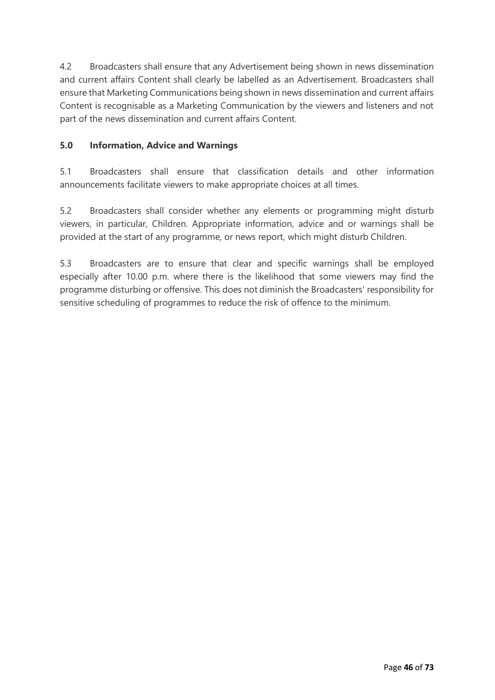4.2 Broadcasters shall ensure that any Advertisement being shown in news dissemination and current affairs Content shall clearly be labelled as an Advertisement. Broadcasters shall ensure that Marketing Communications being shown in news dissemination and current affairs Content is recognisable as a Marketing Communication by the viewers and listeners and not part of the news dissemination and current affairs Content.

## **5.0 Information, Advice and Warnings**

5.1 Broadcasters shall ensure that classification details and other information announcements facilitate viewers to make appropriate choices at all times.

5.2 Broadcasters shall consider whether any elements or programming might disturb viewers, in particular, Children. Appropriate information, advice and or warnings shall be provided at the start of any programme, or news report, which might disturb Children.

5.3 Broadcasters are to ensure that clear and specific warnings shall be employed especially after 10.00 p.m. where there is the likelihood that some viewers may find the programme disturbing or offensive. This does not diminish the Broadcasters' responsibility for sensitive scheduling of programmes to reduce the risk of offence to the minimum.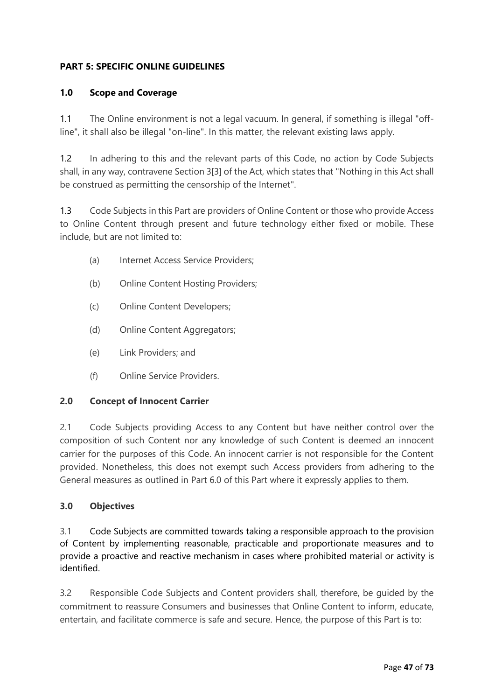# **PART 5: SPECIFIC ONLINE GUIDELINES**

#### **1.0 Scope and Coverage**

1.1 The Online environment is not a legal vacuum. In general, if something is illegal "offline", it shall also be illegal "on-line". In this matter, the relevant existing laws apply.

1.2 In adhering to this and the relevant parts of this Code, no action by Code Subjects shall, in any way, contravene Section 3[3] of the Act, which states that "Nothing in this Act shall be construed as permitting the censorship of the Internet".

1.3 Code Subjects in this Part are providers of Online Content or those who provide Access to Online Content through present and future technology either fixed or mobile. These include, but are not limited to:

- (a) Internet Access Service Providers;
- (b) Online Content Hosting Providers;
- (c) Online Content Developers;
- (d) Online Content Aggregators;
- (e) Link Providers; and
- (f) Online Service Providers.

### **2.0 Concept of Innocent Carrier**

2.1 Code Subjects providing Access to any Content but have neither control over the composition of such Content nor any knowledge of such Content is deemed an innocent carrier for the purposes of this Code. An innocent carrier is not responsible for the Content provided. Nonetheless, this does not exempt such Access providers from adhering to the General measures as outlined in Part 6.0 of this Part where it expressly applies to them.

#### **3.0 Objectives**

3.1 Code Subjects are committed towards taking a responsible approach to the provision of Content by implementing reasonable, practicable and proportionate measures and to provide a proactive and reactive mechanism in cases where prohibited material or activity is identified.

3.2 Responsible Code Subjects and Content providers shall, therefore, be guided by the commitment to reassure Consumers and businesses that Online Content to inform, educate, entertain, and facilitate commerce is safe and secure. Hence, the purpose of this Part is to: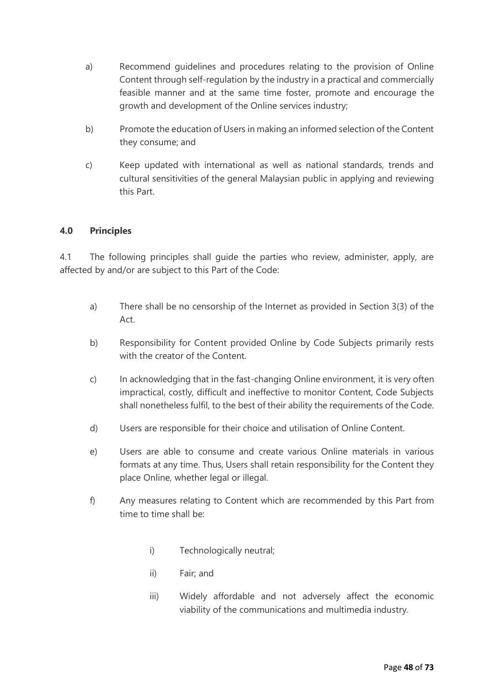- a) Recommend guidelines and procedures relating to the provision of Online Content through self-regulation by the industry in a practical and commercially feasible manner and at the same time foster, promote and encourage the growth and development of the Online services industry;
- b) Promote the education of Users in making an informed selection of the Content they consume; and
- c) Keep updated with international as well as national standards, trends and cultural sensitivities of the general Malaysian public in applying and reviewing this Part.

### **4.0 Principles**

4.1 The following principles shall guide the parties who review, administer, apply, are affected by and/or are subject to this Part of the Code:

- a) There shall be no censorship of the Internet as provided in Section 3(3) of the Act.
- b) Responsibility for Content provided Online by Code Subjects primarily rests with the creator of the Content.
- c) In acknowledging that in the fast-changing Online environment, it is very often impractical, costly, difficult and ineffective to monitor Content, Code Subjects shall nonetheless fulfil, to the best of their ability the requirements of the Code.
- d) Users are responsible for their choice and utilisation of Online Content.
- e) Users are able to consume and create various Online materials in various formats at any time. Thus, Users shall retain responsibility for the Content they place Online, whether legal or illegal.
- f) Any measures relating to Content which are recommended by this Part from time to time shall be:
	- i) Technologically neutral;
	- ii) Fair; and
	- iii) Widely affordable and not adversely affect the economic viability of the communications and multimedia industry.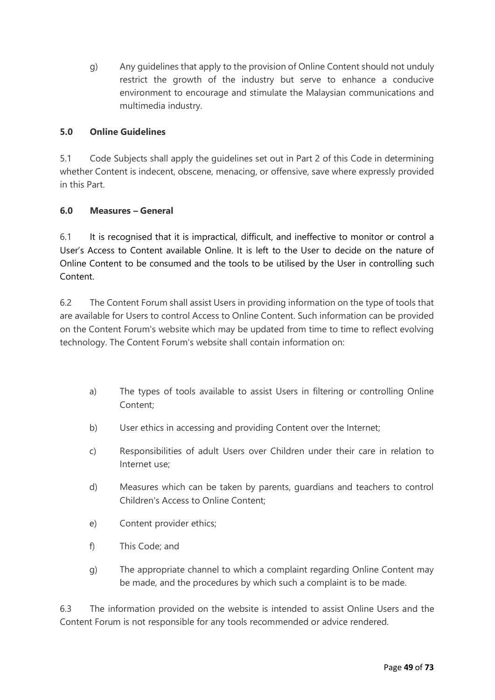g) Any guidelines that apply to the provision of Online Content should not unduly restrict the growth of the industry but serve to enhance a conducive environment to encourage and stimulate the Malaysian communications and multimedia industry.

# **5.0 Online Guidelines**

5.1 Code Subjects shall apply the guidelines set out in Part 2 of this Code in determining whether Content is indecent, obscene, menacing, or offensive, save where expressly provided in this Part.

### **6.0 Measures – General**

6.1 It is recognised that it is impractical, difficult, and ineffective to monitor or control a User's Access to Content available Online. It is left to the User to decide on the nature of Online Content to be consumed and the tools to be utilised by the User in controlling such Content.

6.2 The Content Forum shall assist Users in providing information on the type of tools that are available for Users to control Access to Online Content. Such information can be provided on the Content Forum's website which may be updated from time to time to reflect evolving technology. The Content Forum's website shall contain information on:

- a) The types of tools available to assist Users in filtering or controlling Online Content;
- b) User ethics in accessing and providing Content over the Internet;
- c) Responsibilities of adult Users over Children under their care in relation to Internet use;
- d) Measures which can be taken by parents, guardians and teachers to control Children's Access to Online Content;
- e) Content provider ethics;
- f) This Code; and
- g) The appropriate channel to which a complaint regarding Online Content may be made, and the procedures by which such a complaint is to be made.

6.3 The information provided on the website is intended to assist Online Users and the Content Forum is not responsible for any tools recommended or advice rendered.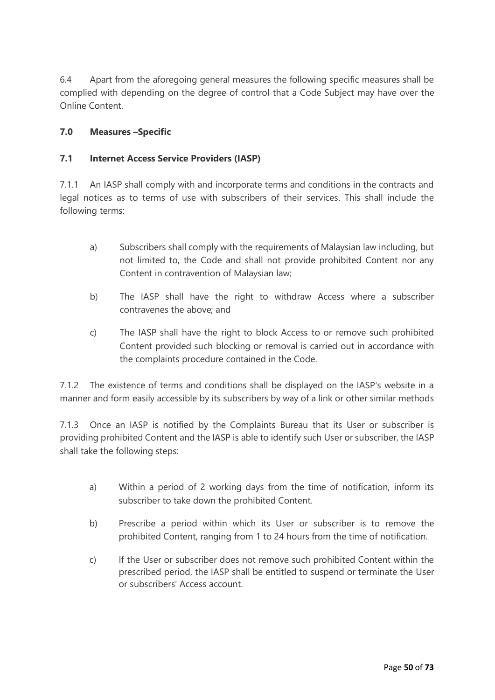6.4 Apart from the aforegoing general measures the following specific measures shall be complied with depending on the degree of control that a Code Subject may have over the Online Content.

## **7.0 Measures –Specific**

### **7.1 Internet Access Service Providers (IASP)**

7.1.1 An IASP shall comply with and incorporate terms and conditions in the contracts and legal notices as to terms of use with subscribers of their services. This shall include the following terms:

- a) Subscribers shall comply with the requirements of Malaysian law including, but not limited to, the Code and shall not provide prohibited Content nor any Content in contravention of Malaysian law;
- b) The IASP shall have the right to withdraw Access where a subscriber contravenes the above; and
- c) The IASP shall have the right to block Access to or remove such prohibited Content provided such blocking or removal is carried out in accordance with the complaints procedure contained in the Code.

7.1.2 The existence of terms and conditions shall be displayed on the IASP's website in a manner and form easily accessible by its subscribers by way of a link or other similar methods

7.1.3 Once an IASP is notified by the Complaints Bureau that its User or subscriber is providing prohibited Content and the IASP is able to identify such User or subscriber, the IASP shall take the following steps:

- a) Within a period of 2 working days from the time of notification, inform its subscriber to take down the prohibited Content.
- b) Prescribe a period within which its User or subscriber is to remove the prohibited Content, ranging from 1 to 24 hours from the time of notification.
- c) If the User or subscriber does not remove such prohibited Content within the prescribed period, the IASP shall be entitled to suspend or terminate the User or subscribers' Access account.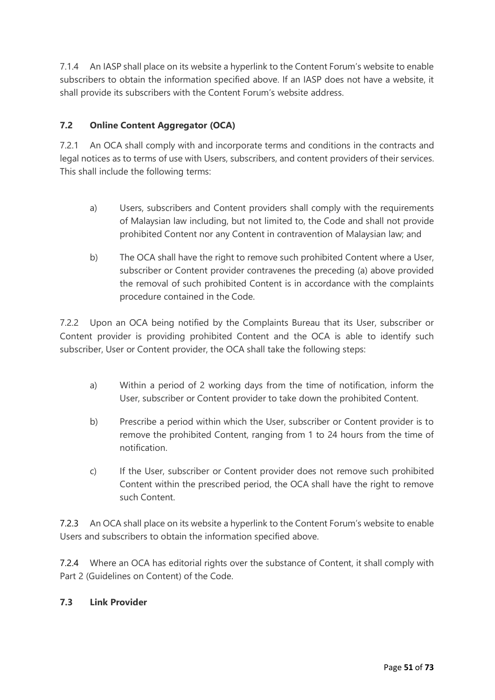7.1.4 An IASP shall place on its website a hyperlink to the Content Forum's website to enable subscribers to obtain the information specified above. If an IASP does not have a website, it shall provide its subscribers with the Content Forum's website address.

# **7.2 Online Content Aggregator (OCA)**

7.2.1 An OCA shall comply with and incorporate terms and conditions in the contracts and legal notices as to terms of use with Users, subscribers, and content providers of their services. This shall include the following terms:

- a) Users, subscribers and Content providers shall comply with the requirements of Malaysian law including, but not limited to, the Code and shall not provide prohibited Content nor any Content in contravention of Malaysian law; and
- b) The OCA shall have the right to remove such prohibited Content where a User, subscriber or Content provider contravenes the preceding (a) above provided the removal of such prohibited Content is in accordance with the complaints procedure contained in the Code.

7.2.2 Upon an OCA being notified by the Complaints Bureau that its User, subscriber or Content provider is providing prohibited Content and the OCA is able to identify such subscriber, User or Content provider, the OCA shall take the following steps:

- a) Within a period of 2 working days from the time of notification, inform the User, subscriber or Content provider to take down the prohibited Content.
- b) Prescribe a period within which the User, subscriber or Content provider is to remove the prohibited Content, ranging from 1 to 24 hours from the time of notification.
- c) If the User, subscriber or Content provider does not remove such prohibited Content within the prescribed period, the OCA shall have the right to remove such Content.

7.2.3 An OCA shall place on its website a hyperlink to the Content Forum's website to enable Users and subscribers to obtain the information specified above.

7.2.4 Where an OCA has editorial rights over the substance of Content, it shall comply with Part 2 (Guidelines on Content) of the Code.

### **7.3 Link Provider**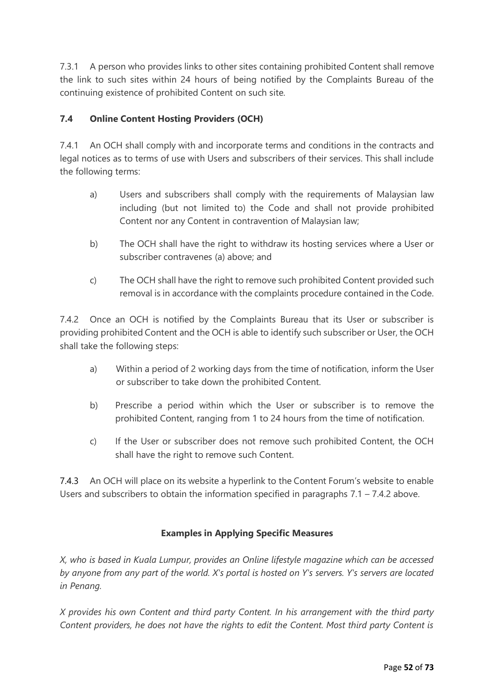7.3.1 A person who provides links to other sites containing prohibited Content shall remove the link to such sites within 24 hours of being notified by the Complaints Bureau of the continuing existence of prohibited Content on such site.

# **7.4 Online Content Hosting Providers (OCH)**

7.4.1 An OCH shall comply with and incorporate terms and conditions in the contracts and legal notices as to terms of use with Users and subscribers of their services. This shall include the following terms:

- a) Users and subscribers shall comply with the requirements of Malaysian law including (but not limited to) the Code and shall not provide prohibited Content nor any Content in contravention of Malaysian law;
- b) The OCH shall have the right to withdraw its hosting services where a User or subscriber contravenes (a) above; and
- c) The OCH shall have the right to remove such prohibited Content provided such removal is in accordance with the complaints procedure contained in the Code.

7.4.2 Once an OCH is notified by the Complaints Bureau that its User or subscriber is providing prohibited Content and the OCH is able to identify such subscriber or User, the OCH shall take the following steps:

- a) Within a period of 2 working days from the time of notification, inform the User or subscriber to take down the prohibited Content.
- b) Prescribe a period within which the User or subscriber is to remove the prohibited Content, ranging from 1 to 24 hours from the time of notification.
- c) If the User or subscriber does not remove such prohibited Content, the OCH shall have the right to remove such Content.

7.4.3 An OCH will place on its website a hyperlink to the Content Forum's website to enable Users and subscribers to obtain the information specified in paragraphs  $7.1 - 7.4.2$  above.

### **Examples in Applying Specific Measures**

*X, who is based in Kuala Lumpur, provides an Online lifestyle magazine which can be accessed by anyone from any part of the world. X's portal is hosted on Y's servers. Y's servers are located in Penang.*

*X provides his own Content and third party Content. In his arrangement with the third party Content providers, he does not have the rights to edit the Content. Most third party Content is*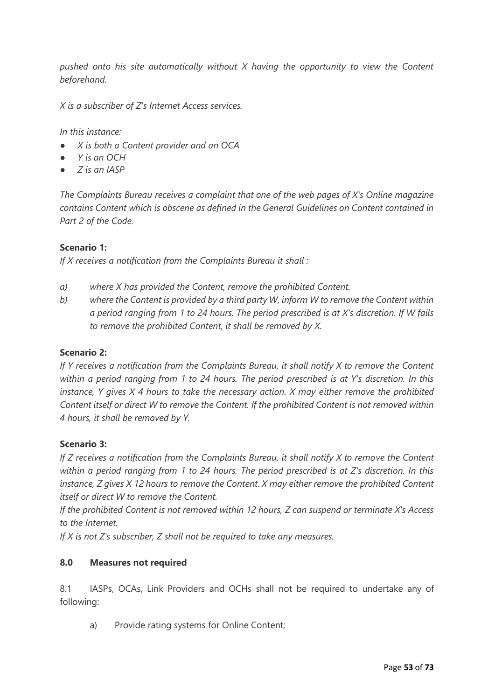*pushed onto his site automatically without X having the opportunity to view the Content beforehand.*

*X is a subscriber of Z's Internet Access services.*

*In this instance:*

- *X is both a Content provider and an OCA*
- *Y is an OCH*
- *Z is an IASP*

*The Complaints Bureau receives a complaint that one of the web pages of X's Online magazine contains Content which is obscene as defined in the General Guidelines on Content contained in Part 2 of the Code.*

#### **Scenario 1:**

*If X receives a notification from the Complaints Bureau it shall :*

- *a) where X has provided the Content, remove the prohibited Content.*
- *b) where the Content is provided by a third party W, inform W to remove the Content within a period ranging from 1 to 24 hours. The period prescribed is at X's discretion. If W fails to remove the prohibited Content, it shall be removed by X.*

#### **Scenario 2:**

*If Y receives a notification from the Complaints Bureau, it shall notify X to remove the Content within a period ranging from 1 to 24 hours. The period prescribed is at Y's discretion. In this instance, Y gives X 4 hours to take the necessary action. X may either remove the prohibited Content itself or direct W to remove the Content. If the prohibited Content is not removed within 4 hours, it shall be removed by Y.*

#### **Scenario 3:**

*If Z receives a notification from the Complaints Bureau, it shall notify X to remove the Content within a period ranging from 1 to 24 hours. The period prescribed is at Z's discretion. In this instance, Z gives X 12 hours to remove the Content. X may either remove the prohibited Content itself or direct W to remove the Content.* 

*If the prohibited Content is not removed within 12 hours, Z can suspend or terminate X's Access to the Internet.* 

*If X is not Z's subscriber, Z shall not be required to take any measures.*

#### **8.0 Measures not required**

8.1 IASPs, OCAs, Link Providers and OCHs shall not be required to undertake any of following:

a) Provide rating systems for Online Content;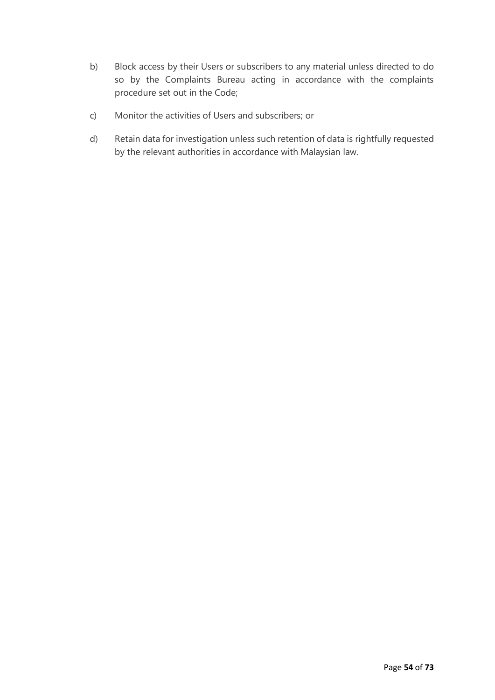- b) Block access by their Users or subscribers to any material unless directed to do so by the Complaints Bureau acting in accordance with the complaints procedure set out in the Code;
- c) Monitor the activities of Users and subscribers; or
- d) Retain data for investigation unless such retention of data is rightfully requested by the relevant authorities in accordance with Malaysian law.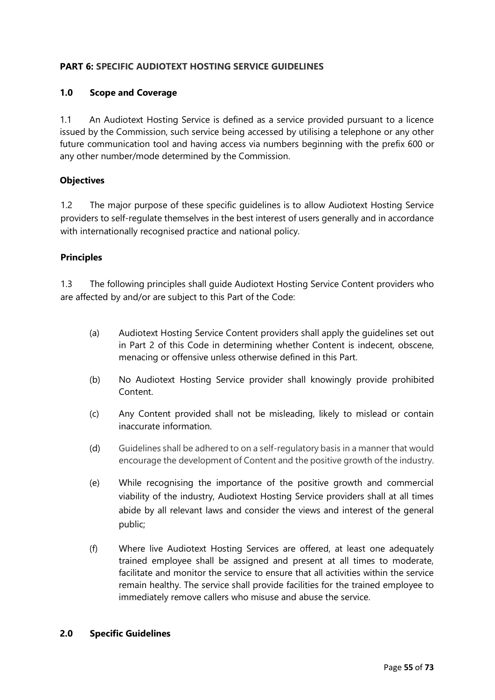## **PART 6: SPECIFIC AUDIOTEXT HOSTING SERVICE GUIDELINES**

### **1.0 Scope and Coverage**

1.1 An Audiotext Hosting Service is defined as a service provided pursuant to a licence issued by the Commission, such service being accessed by utilising a telephone or any other future communication tool and having access via numbers beginning with the prefix 600 or any other number/mode determined by the Commission.

#### **Objectives**

1.2 The major purpose of these specific guidelines is to allow Audiotext Hosting Service providers to self-regulate themselves in the best interest of users generally and in accordance with internationally recognised practice and national policy.

#### **Principles**

1.3 The following principles shall guide Audiotext Hosting Service Content providers who are affected by and/or are subject to this Part of the Code:

- (a) Audiotext Hosting Service Content providers shall apply the guidelines set out in Part 2 of this Code in determining whether Content is indecent, obscene, menacing or offensive unless otherwise defined in this Part.
- (b) No Audiotext Hosting Service provider shall knowingly provide prohibited Content.
- (c) Any Content provided shall not be misleading, likely to mislead or contain inaccurate information.
- (d) Guidelines shall be adhered to on a self-regulatory basis in a manner that would encourage the development of Content and the positive growth of the industry.
- (e) While recognising the importance of the positive growth and commercial viability of the industry, Audiotext Hosting Service providers shall at all times abide by all relevant laws and consider the views and interest of the general public;
- (f) Where live Audiotext Hosting Services are offered, at least one adequately trained employee shall be assigned and present at all times to moderate, facilitate and monitor the service to ensure that all activities within the service remain healthy. The service shall provide facilities for the trained employee to immediately remove callers who misuse and abuse the service.

#### **2.0 Specific Guidelines**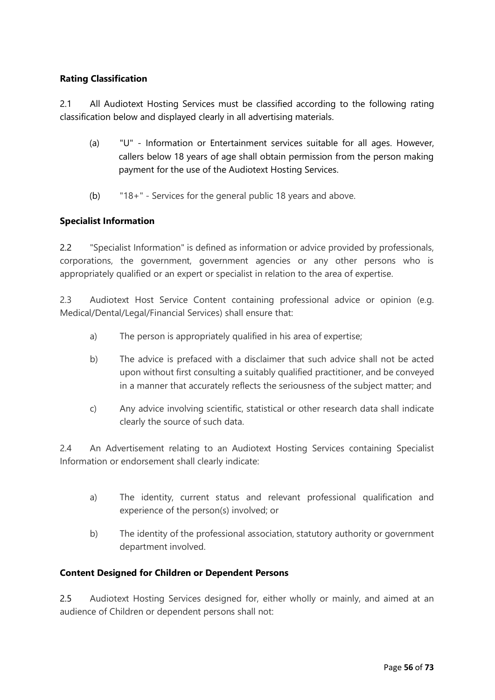## **Rating Classification**

2.1 All Audiotext Hosting Services must be classified according to the following rating classification below and displayed clearly in all advertising materials.

- (a) "U" Information or Entertainment services suitable for all ages. However, callers below 18 years of age shall obtain permission from the person making payment for the use of the Audiotext Hosting Services.
- (b) "18+" Services for the general public 18 years and above.

### **Specialist Information**

2.2 "Specialist Information" is defined as information or advice provided by professionals, corporations, the government, government agencies or any other persons who is appropriately qualified or an expert or specialist in relation to the area of expertise.

2.3 Audiotext Host Service Content containing professional advice or opinion (e.g. Medical/Dental/Legal/Financial Services) shall ensure that:

- a) The person is appropriately qualified in his area of expertise;
- b) The advice is prefaced with a disclaimer that such advice shall not be acted upon without first consulting a suitably qualified practitioner, and be conveyed in a manner that accurately reflects the seriousness of the subject matter; and
- c) Any advice involving scientific, statistical or other research data shall indicate clearly the source of such data.

2.4 An Advertisement relating to an Audiotext Hosting Services containing Specialist Information or endorsement shall clearly indicate:

- a) The identity, current status and relevant professional qualification and experience of the person(s) involved; or
- b) The identity of the professional association, statutory authority or government department involved.

### **Content Designed for Children or Dependent Persons**

2.5 Audiotext Hosting Services designed for, either wholly or mainly, and aimed at an audience of Children or dependent persons shall not: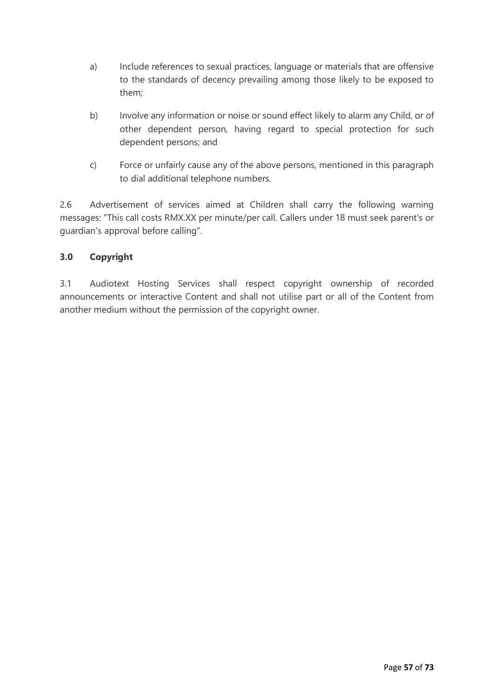- a) Include references to sexual practices, language or materials that are offensive to the standards of decency prevailing among those likely to be exposed to them;
- b) Involve any information or noise or sound effect likely to alarm any Child, or of other dependent person, having regard to special protection for such dependent persons; and
- c) Force or unfairly cause any of the above persons, mentioned in this paragraph to dial additional telephone numbers.

2.6 Advertisement of services aimed at Children shall carry the following warning messages: "This call costs RMX.XX per minute/per call. Callers under 18 must seek parent's or guardian's approval before calling".

# **3.0 Copyright**

3.1 Audiotext Hosting Services shall respect copyright ownership of recorded announcements or interactive Content and shall not utilise part or all of the Content from another medium without the permission of the copyright owner.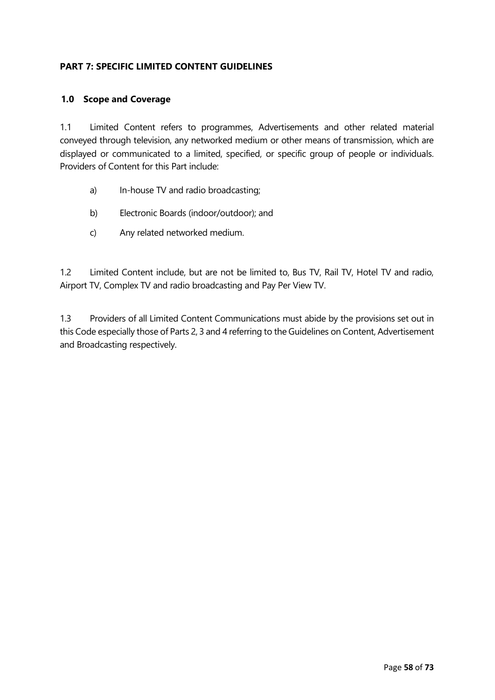## **PART 7: SPECIFIC LIMITED CONTENT GUIDELINES**

#### **1.0 Scope and Coverage**

1.1 Limited Content refers to programmes, Advertisements and other related material conveyed through television, any networked medium or other means of transmission, which are displayed or communicated to a limited, specified, or specific group of people or individuals. Providers of Content for this Part include:

- a) In-house TV and radio broadcasting;
- b) Electronic Boards (indoor/outdoor); and
- c) Any related networked medium.

1.2 Limited Content include, but are not be limited to, Bus TV, Rail TV, Hotel TV and radio, Airport TV, Complex TV and radio broadcasting and Pay Per View TV.

1.3 Providers of all Limited Content Communications must abide by the provisions set out in this Code especially those of Parts 2, 3 and 4 referring to the Guidelines on Content, Advertisement and Broadcasting respectively.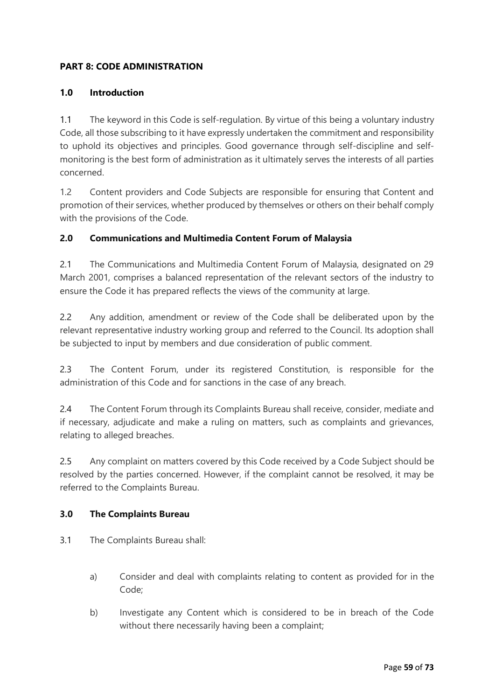# **PART 8: CODE ADMINISTRATION**

### **1.0 Introduction**

1.1 The keyword in this Code is self-regulation. By virtue of this being a voluntary industry Code, all those subscribing to it have expressly undertaken the commitment and responsibility to uphold its objectives and principles. Good governance through self-discipline and selfmonitoring is the best form of administration as it ultimately serves the interests of all parties concerned.

1.2 Content providers and Code Subjects are responsible for ensuring that Content and promotion of their services, whether produced by themselves or others on their behalf comply with the provisions of the Code.

### **2.0 Communications and Multimedia Content Forum of Malaysia**

2.1 The Communications and Multimedia Content Forum of Malaysia, designated on 29 March 2001, comprises a balanced representation of the relevant sectors of the industry to ensure the Code it has prepared reflects the views of the community at large.

2.2 Any addition, amendment or review of the Code shall be deliberated upon by the relevant representative industry working group and referred to the Council. Its adoption shall be subjected to input by members and due consideration of public comment.

2.3 The Content Forum, under its registered Constitution, is responsible for the administration of this Code and for sanctions in the case of any breach.

2.4 The Content Forum through its Complaints Bureau shall receive, consider, mediate and if necessary, adjudicate and make a ruling on matters, such as complaints and grievances, relating to alleged breaches.

2.5 Any complaint on matters covered by this Code received by a Code Subject should be resolved by the parties concerned. However, if the complaint cannot be resolved, it may be referred to the Complaints Bureau.

#### **3.0 The Complaints Bureau**

3.1 The Complaints Bureau shall:

- a) Consider and deal with complaints relating to content as provided for in the Code;
- b) Investigate any Content which is considered to be in breach of the Code without there necessarily having been a complaint;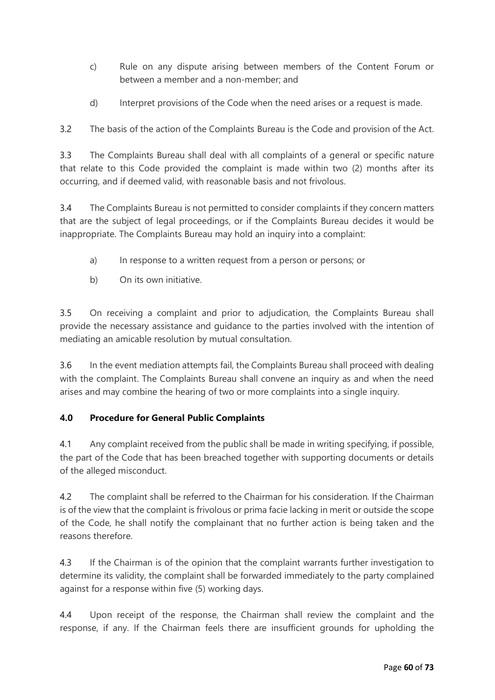- c) Rule on any dispute arising between members of the Content Forum or between a member and a non-member; and
- d) Interpret provisions of the Code when the need arises or a request is made.

3.2 The basis of the action of the Complaints Bureau is the Code and provision of the Act.

3.3 The Complaints Bureau shall deal with all complaints of a general or specific nature that relate to this Code provided the complaint is made within two (2) months after its occurring, and if deemed valid, with reasonable basis and not frivolous.

3.4 The Complaints Bureau is not permitted to consider complaints if they concern matters that are the subject of legal proceedings, or if the Complaints Bureau decides it would be inappropriate. The Complaints Bureau may hold an inquiry into a complaint:

- a) In response to a written request from a person or persons; or
- b) On its own initiative.

3.5 On receiving a complaint and prior to adjudication, the Complaints Bureau shall provide the necessary assistance and guidance to the parties involved with the intention of mediating an amicable resolution by mutual consultation.

3.6 In the event mediation attempts fail, the Complaints Bureau shall proceed with dealing with the complaint. The Complaints Bureau shall convene an inquiry as and when the need arises and may combine the hearing of two or more complaints into a single inquiry.

# **4.0 Procedure for General Public Complaints**

4.1 Any complaint received from the public shall be made in writing specifying, if possible, the part of the Code that has been breached together with supporting documents or details of the alleged misconduct.

4.2 The complaint shall be referred to the Chairman for his consideration. If the Chairman is of the view that the complaint is frivolous or prima facie lacking in merit or outside the scope of the Code, he shall notify the complainant that no further action is being taken and the reasons therefore.

4.3 If the Chairman is of the opinion that the complaint warrants further investigation to determine its validity, the complaint shall be forwarded immediately to the party complained against for a response within five (5) working days.

4.4 Upon receipt of the response, the Chairman shall review the complaint and the response, if any. If the Chairman feels there are insufficient grounds for upholding the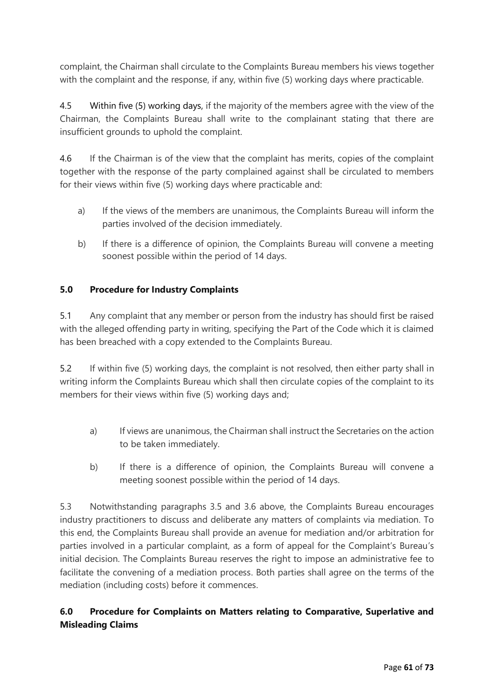complaint, the Chairman shall circulate to the Complaints Bureau members his views together with the complaint and the response, if any, within five (5) working days where practicable.

4.5 Within five (5) working days, if the majority of the members agree with the view of the Chairman, the Complaints Bureau shall write to the complainant stating that there are insufficient grounds to uphold the complaint.

4.6 If the Chairman is of the view that the complaint has merits, copies of the complaint together with the response of the party complained against shall be circulated to members for their views within five (5) working days where practicable and:

- a) If the views of the members are unanimous, the Complaints Bureau will inform the parties involved of the decision immediately.
- b) If there is a difference of opinion, the Complaints Bureau will convene a meeting soonest possible within the period of 14 days.

# **5.0 Procedure for Industry Complaints**

5.1 Any complaint that any member or person from the industry has should first be raised with the alleged offending party in writing, specifying the Part of the Code which it is claimed has been breached with a copy extended to the Complaints Bureau.

5.2 If within five (5) working days, the complaint is not resolved, then either party shall in writing inform the Complaints Bureau which shall then circulate copies of the complaint to its members for their views within five (5) working days and;

- a) If views are unanimous, the Chairman shall instruct the Secretaries on the action to be taken immediately.
- b) If there is a difference of opinion, the Complaints Bureau will convene a meeting soonest possible within the period of 14 days.

5.3 Notwithstanding paragraphs 3.5 and 3.6 above, the Complaints Bureau encourages industry practitioners to discuss and deliberate any matters of complaints via mediation. To this end, the Complaints Bureau shall provide an avenue for mediation and/or arbitration for parties involved in a particular complaint, as a form of appeal for the Complaint's Bureau's initial decision. The Complaints Bureau reserves the right to impose an administrative fee to facilitate the convening of a mediation process. Both parties shall agree on the terms of the mediation (including costs) before it commences.

# **6.0 Procedure for Complaints on Matters relating to Comparative, Superlative and Misleading Claims**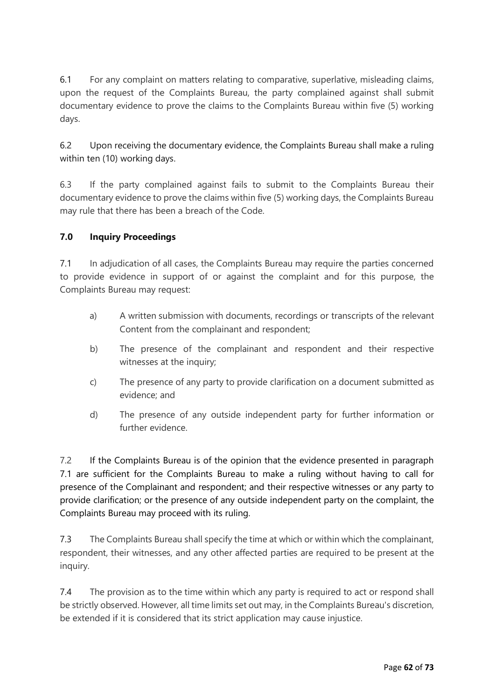6.1 For any complaint on matters relating to comparative, superlative, misleading claims, upon the request of the Complaints Bureau, the party complained against shall submit documentary evidence to prove the claims to the Complaints Bureau within five (5) working days.

6.2 Upon receiving the documentary evidence, the Complaints Bureau shall make a ruling within ten (10) working days.

6.3 If the party complained against fails to submit to the Complaints Bureau their documentary evidence to prove the claims within five (5) working days, the Complaints Bureau may rule that there has been a breach of the Code.

# **7.0 Inquiry Proceedings**

7.1 In adjudication of all cases, the Complaints Bureau may require the parties concerned to provide evidence in support of or against the complaint and for this purpose, the Complaints Bureau may request:

- a) A written submission with documents, recordings or transcripts of the relevant Content from the complainant and respondent;
- b) The presence of the complainant and respondent and their respective witnesses at the inquiry;
- c) The presence of any party to provide clarification on a document submitted as evidence; and
- d) The presence of any outside independent party for further information or further evidence.

7.2 If the Complaints Bureau is of the opinion that the evidence presented in paragraph 7.1 are sufficient for the Complaints Bureau to make a ruling without having to call for presence of the Complainant and respondent; and their respective witnesses or any party to provide clarification; or the presence of any outside independent party on the complaint, the Complaints Bureau may proceed with its ruling.

7.3 The Complaints Bureau shall specify the time at which or within which the complainant, respondent, their witnesses, and any other affected parties are required to be present at the inquiry.

7.4 The provision as to the time within which any party is required to act or respond shall be strictly observed. However, all time limits set out may, in the Complaints Bureau's discretion, be extended if it is considered that its strict application may cause injustice.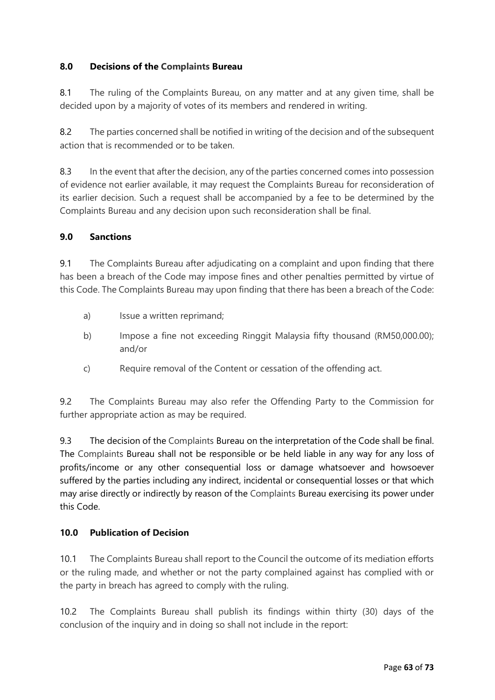# **8.0 Decisions of the Complaints Bureau**

8.1 The ruling of the Complaints Bureau, on any matter and at any given time, shall be decided upon by a majority of votes of its members and rendered in writing.

8.2 The parties concerned shall be notified in writing of the decision and of the subsequent action that is recommended or to be taken.

8.3 In the event that after the decision, any of the parties concerned comes into possession of evidence not earlier available, it may request the Complaints Bureau for reconsideration of its earlier decision. Such a request shall be accompanied by a fee to be determined by the Complaints Bureau and any decision upon such reconsideration shall be final.

# **9.0 Sanctions**

9.1 The Complaints Bureau after adjudicating on a complaint and upon finding that there has been a breach of the Code may impose fines and other penalties permitted by virtue of this Code. The Complaints Bureau may upon finding that there has been a breach of the Code:

- a) Issue a written reprimand;
- b) Impose a fine not exceeding Ringgit Malaysia fifty thousand (RM50,000.00); and/or
- c) Require removal of the Content or cessation of the offending act.

9.2 The Complaints Bureau may also refer the Offending Party to the Commission for further appropriate action as may be required.

9.3 The decision of the Complaints Bureau on the interpretation of the Code shall be final. The Complaints Bureau shall not be responsible or be held liable in any way for any loss of profits/income or any other consequential loss or damage whatsoever and howsoever suffered by the parties including any indirect, incidental or consequential losses or that which may arise directly or indirectly by reason of the Complaints Bureau exercising its power under this Code.

### **10.0 Publication of Decision**

10.1 The Complaints Bureau shall report to the Council the outcome of its mediation efforts or the ruling made, and whether or not the party complained against has complied with or the party in breach has agreed to comply with the ruling.

10.2 The Complaints Bureau shall publish its findings within thirty (30) days of the conclusion of the inquiry and in doing so shall not include in the report: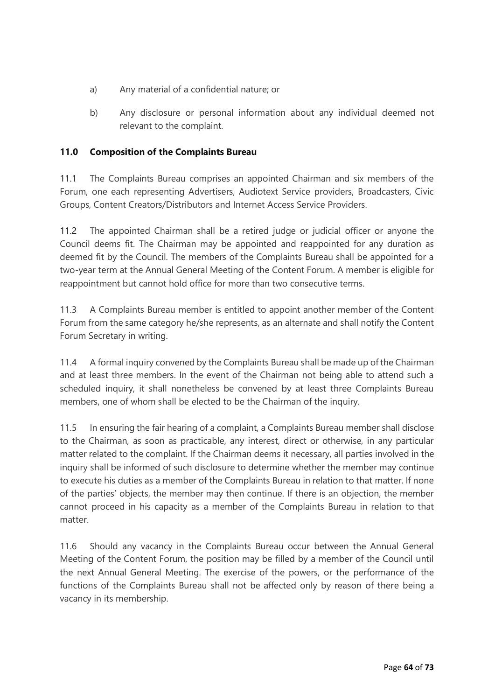- a) Any material of a confidential nature; or
- b) Any disclosure or personal information about any individual deemed not relevant to the complaint.

# **11.0 Composition of the Complaints Bureau**

11.1 The Complaints Bureau comprises an appointed Chairman and six members of the Forum, one each representing Advertisers, Audiotext Service providers, Broadcasters, Civic Groups, Content Creators/Distributors and Internet Access Service Providers.

11.2 The appointed Chairman shall be a retired judge or judicial officer or anyone the Council deems fit. The Chairman may be appointed and reappointed for any duration as deemed fit by the Council. The members of the Complaints Bureau shall be appointed for a two-year term at the Annual General Meeting of the Content Forum. A member is eligible for reappointment but cannot hold office for more than two consecutive terms.

11.3 A Complaints Bureau member is entitled to appoint another member of the Content Forum from the same category he/she represents, as an alternate and shall notify the Content Forum Secretary in writing.

11.4 A formal inquiry convened by the Complaints Bureau shall be made up of the Chairman and at least three members. In the event of the Chairman not being able to attend such a scheduled inquiry, it shall nonetheless be convened by at least three Complaints Bureau members, one of whom shall be elected to be the Chairman of the inquiry.

11.5 In ensuring the fair hearing of a complaint, a Complaints Bureau member shall disclose to the Chairman, as soon as practicable, any interest, direct or otherwise, in any particular matter related to the complaint. If the Chairman deems it necessary, all parties involved in the inquiry shall be informed of such disclosure to determine whether the member may continue to execute his duties as a member of the Complaints Bureau in relation to that matter. If none of the parties' objects, the member may then continue. If there is an objection, the member cannot proceed in his capacity as a member of the Complaints Bureau in relation to that matter.

11.6 Should any vacancy in the Complaints Bureau occur between the Annual General Meeting of the Content Forum, the position may be filled by a member of the Council until the next Annual General Meeting. The exercise of the powers, or the performance of the functions of the Complaints Bureau shall not be affected only by reason of there being a vacancy in its membership.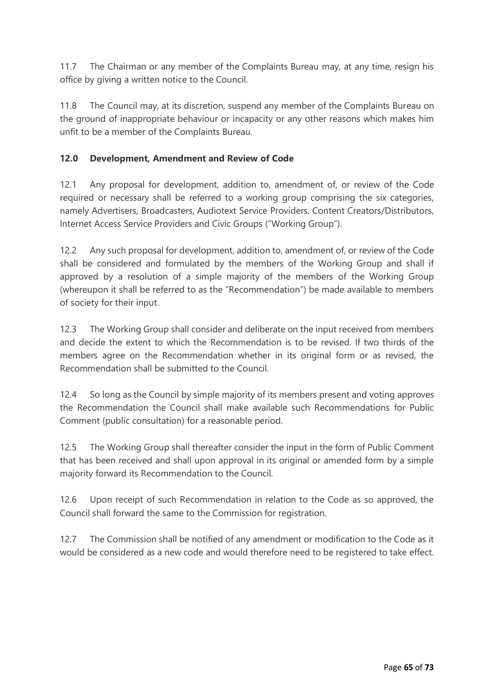11.7 The Chairman or any member of the Complaints Bureau may, at any time, resign his office by giving a written notice to the Council.

11.8 The Council may, at its discretion, suspend any member of the Complaints Bureau on the ground of inappropriate behaviour or incapacity or any other reasons which makes him unfit to be a member of the Complaints Bureau.

# **12.0 Development, Amendment and Review of Code**

12.1 Any proposal for development, addition to, amendment of, or review of the Code required or necessary shall be referred to a working group comprising the six categories, namely Advertisers, Broadcasters, Audiotext Service Providers, Content Creators/Distributors, Internet Access Service Providers and Civic Groups ("Working Group").

12.2 Any such proposal for development, addition to, amendment of, or review of the Code shall be considered and formulated by the members of the Working Group and shall if approved by a resolution of a simple majority of the members of the Working Group (whereupon it shall be referred to as the "Recommendation") be made available to members of society for their input.

12.3 The Working Group shall consider and deliberate on the input received from members and decide the extent to which the Recommendation is to be revised. If two thirds of the members agree on the Recommendation whether in its original form or as revised, the Recommendation shall be submitted to the Council.

12.4 So long as the Council by simple majority of its members present and voting approves the Recommendation the Council shall make available such Recommendations for Public Comment (public consultation) for a reasonable period.

12.5 The Working Group shall thereafter consider the input in the form of Public Comment that has been received and shall upon approval in its original or amended form by a simple majority forward its Recommendation to the Council.

12.6 Upon receipt of such Recommendation in relation to the Code as so approved, the Council shall forward the same to the Commission for registration.

12.7 The Commission shall be notified of any amendment or modification to the Code as it would be considered as a new code and would therefore need to be registered to take effect.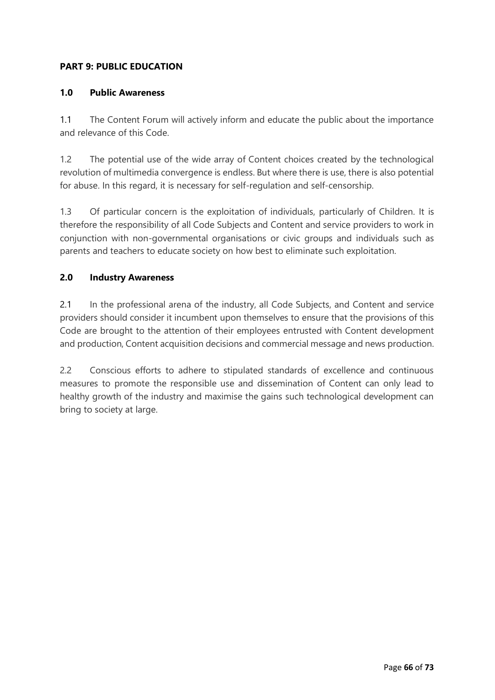# **PART 9: PUBLIC EDUCATION**

### **1.0 Public Awareness**

1.1 The Content Forum will actively inform and educate the public about the importance and relevance of this Code.

1.2 The potential use of the wide array of Content choices created by the technological revolution of multimedia convergence is endless. But where there is use, there is also potential for abuse. In this regard, it is necessary for self-regulation and self-censorship.

1.3 Of particular concern is the exploitation of individuals, particularly of Children. It is therefore the responsibility of all Code Subjects and Content and service providers to work in conjunction with non-governmental organisations or civic groups and individuals such as parents and teachers to educate society on how best to eliminate such exploitation.

#### **2.0 Industry Awareness**

2.1 In the professional arena of the industry, all Code Subjects, and Content and service providers should consider it incumbent upon themselves to ensure that the provisions of this Code are brought to the attention of their employees entrusted with Content development and production, Content acquisition decisions and commercial message and news production.

2.2 Conscious efforts to adhere to stipulated standards of excellence and continuous measures to promote the responsible use and dissemination of Content can only lead to healthy growth of the industry and maximise the gains such technological development can bring to society at large.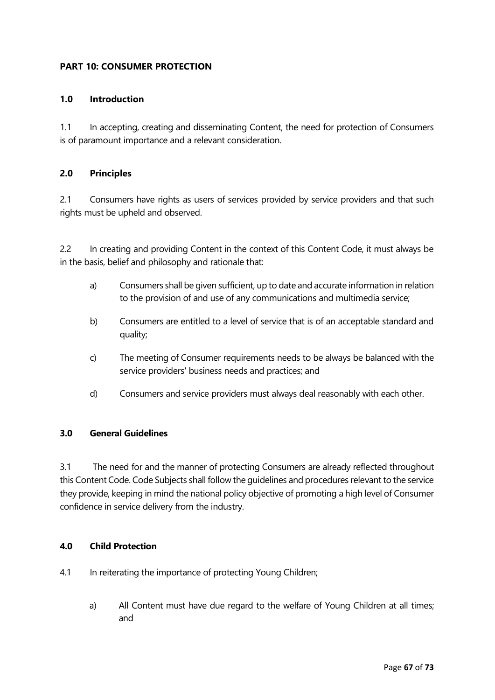### **PART 10: CONSUMER PROTECTION**

#### **1.0 Introduction**

1.1 In accepting, creating and disseminating Content, the need for protection of Consumers is of paramount importance and a relevant consideration.

#### **2.0 Principles**

2.1 Consumers have rights as users of services provided by service providers and that such rights must be upheld and observed.

2.2 In creating and providing Content in the context of this Content Code, it must always be in the basis, belief and philosophy and rationale that:

- a) Consumers shall be given sufficient, up to date and accurate information in relation to the provision of and use of any communications and multimedia service;
- b) Consumers are entitled to a level of service that is of an acceptable standard and quality;
- c) The meeting of Consumer requirements needs to be always be balanced with the service providers' business needs and practices; and
- d) Consumers and service providers must always deal reasonably with each other.

### **3.0 General Guidelines**

3.1 The need for and the manner of protecting Consumers are already reflected throughout this Content Code. Code Subjects shall follow the guidelines and procedures relevant to the service they provide, keeping in mind the national policy objective of promoting a high level of Consumer confidence in service delivery from the industry.

#### **4.0 Child Protection**

- 4.1 In reiterating the importance of protecting Young Children;
	- a) All Content must have due regard to the welfare of Young Children at all times; and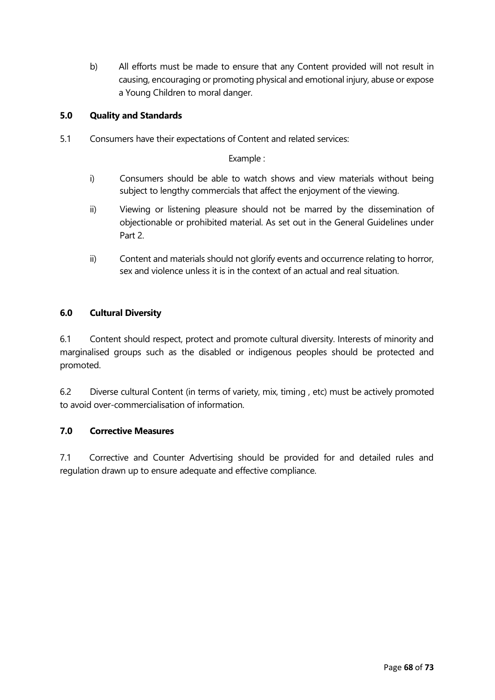b) All efforts must be made to ensure that any Content provided will not result in causing, encouraging or promoting physical and emotional injury, abuse or expose a Young Children to moral danger.

### **5.0 Quality and Standards**

5.1 Consumers have their expectations of Content and related services:

Example :

- i) Consumers should be able to watch shows and view materials without being subject to lengthy commercials that affect the enjoyment of the viewing.
- ii) Viewing or listening pleasure should not be marred by the dissemination of objectionable or prohibited material. As set out in the General Guidelines under Part 2.
- ii) Content and materials should not glorify events and occurrence relating to horror, sex and violence unless it is in the context of an actual and real situation.

#### **6.0 Cultural Diversity**

6.1 Content should respect, protect and promote cultural diversity. Interests of minority and marginalised groups such as the disabled or indigenous peoples should be protected and promoted.

6.2 Diverse cultural Content (in terms of variety, mix, timing , etc) must be actively promoted to avoid over-commercialisation of information.

#### **7.0 Corrective Measures**

7.1 Corrective and Counter Advertising should be provided for and detailed rules and regulation drawn up to ensure adequate and effective compliance.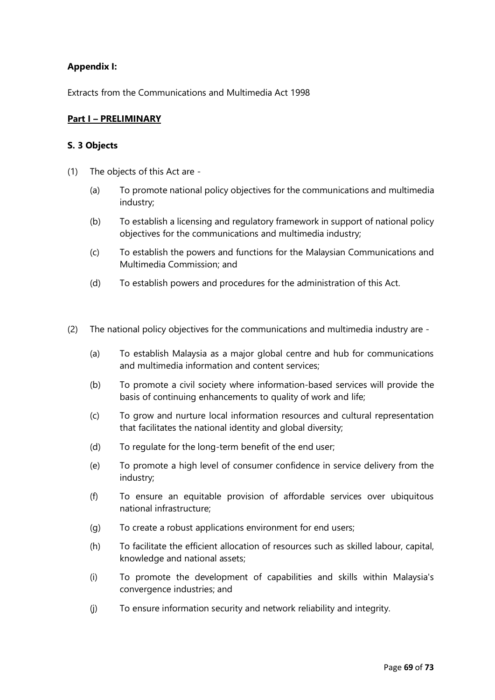### **Appendix I:**

Extracts from the Communications and Multimedia Act 1998

#### **Part I – PRELIMINARY**

#### **S. 3 Objects**

- (1) The objects of this Act are
	- (a) To promote national policy objectives for the communications and multimedia industry;
	- (b) To establish a licensing and regulatory framework in support of national policy objectives for the communications and multimedia industry;
	- (c) To establish the powers and functions for the Malaysian Communications and Multimedia Commission; and
	- (d) To establish powers and procedures for the administration of this Act.
- (2) The national policy objectives for the communications and multimedia industry are
	- (a) To establish Malaysia as a major global centre and hub for communications and multimedia information and content services;
	- (b) To promote a civil society where information-based services will provide the basis of continuing enhancements to quality of work and life;
	- (c) To grow and nurture local information resources and cultural representation that facilitates the national identity and global diversity;
	- (d) To regulate for the long-term benefit of the end user;
	- (e) To promote a high level of consumer confidence in service delivery from the industry;
	- (f) To ensure an equitable provision of affordable services over ubiquitous national infrastructure;
	- (g) To create a robust applications environment for end users;
	- (h) To facilitate the efficient allocation of resources such as skilled labour, capital, knowledge and national assets;
	- (i) To promote the development of capabilities and skills within Malaysia's convergence industries; and
	- (j) To ensure information security and network reliability and integrity.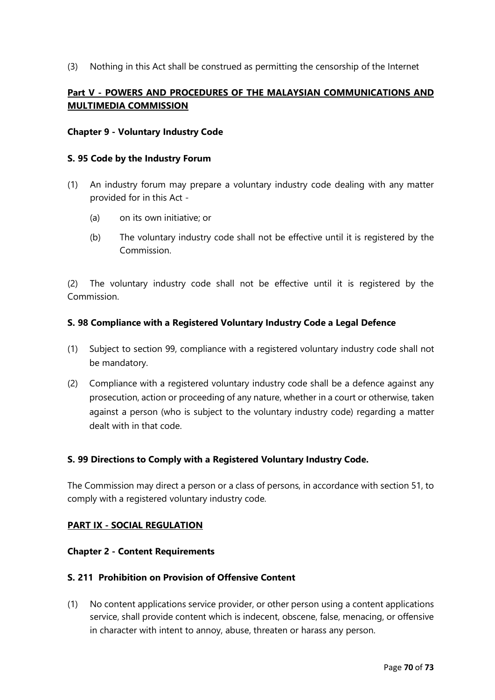(3) Nothing in this Act shall be construed as permitting the censorship of the Internet

# **Part V - POWERS AND PROCEDURES OF THE MALAYSIAN COMMUNICATIONS AND MULTIMEDIA COMMISSION**

#### **Chapter 9 - Voluntary Industry Code**

#### **S. 95 Code by the Industry Forum**

- (1) An industry forum may prepare a voluntary industry code dealing with any matter provided for in this Act -
	- (a) on its own initiative; or
	- (b) The voluntary industry code shall not be effective until it is registered by the Commission.

(2) The voluntary industry code shall not be effective until it is registered by the Commission.

#### **S. 98 Compliance with a Registered Voluntary Industry Code a Legal Defence**

- (1) Subject to section 99, compliance with a registered voluntary industry code shall not be mandatory.
- (2) Compliance with a registered voluntary industry code shall be a defence against any prosecution, action or proceeding of any nature, whether in a court or otherwise, taken against a person (who is subject to the voluntary industry code) regarding a matter dealt with in that code.

#### **S. 99 Directions to Comply with a Registered Voluntary Industry Code.**

The Commission may direct a person or a class of persons, in accordance with section 51, to comply with a registered voluntary industry code.

#### **PART IX - SOCIAL REGULATION**

#### **Chapter 2 - Content Requirements**

#### **S. 211 Prohibition on Provision of Offensive Content**

(1) No content applications service provider, or other person using a content applications service, shall provide content which is indecent, obscene, false, menacing, or offensive in character with intent to annoy, abuse, threaten or harass any person.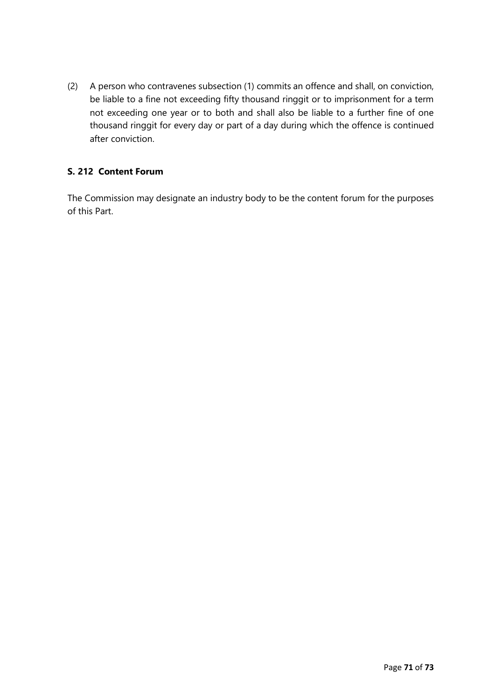(2) A person who contravenes subsection (1) commits an offence and shall, on conviction, be liable to a fine not exceeding fifty thousand ringgit or to imprisonment for a term not exceeding one year or to both and shall also be liable to a further fine of one thousand ringgit for every day or part of a day during which the offence is continued after conviction.

# **S. 212 Content Forum**

The Commission may designate an industry body to be the content forum for the purposes of this Part.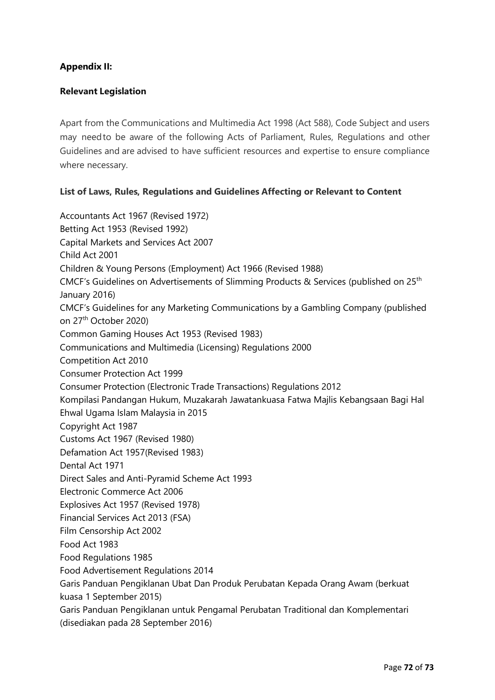## **Appendix II:**

## **Relevant Legislation**

Apart from the Communications and Multimedia Act 1998 (Act 588), Code Subject and users may needto be aware of the following Acts of Parliament, Rules, Regulations and other Guidelines and are advised to have sufficient resources and expertise to ensure compliance where necessary.

## **List of Laws, Rules, Regulations and Guidelines Affecting or Relevant to Content**

Accountants Act 1967 (Revised 1972) Betting Act 1953 (Revised 1992) Capital Markets and Services Act 2007 Child Act 2001 Children & Young Persons (Employment) Act 1966 (Revised 1988) CMCF's Guidelines on Advertisements of Slimming Products & Services (published on 25th January 2016) CMCF's Guidelines for any Marketing Communications by a Gambling Company (published on 27th October 2020) Common Gaming Houses Act 1953 (Revised 1983) Communications and Multimedia (Licensing) Regulations 2000 Competition Act 2010 Consumer Protection Act 1999 Consumer Protection (Electronic Trade Transactions) Regulations 2012 Kompilasi Pandangan Hukum, Muzakarah Jawatankuasa Fatwa Majlis Kebangsaan Bagi Hal Ehwal Ugama Islam Malaysia in 2015 Copyright Act 1987 Customs Act 1967 (Revised 1980) Defamation Act 1957(Revised 1983) Dental Act 1971 Direct Sales and Anti-Pyramid Scheme Act 1993 Electronic Commerce Act 2006 Explosives Act 1957 (Revised 1978) Financial Services Act 2013 (FSA) Film Censorship Act 2002 Food Act 1983 Food Regulations 1985 Food Advertisement Regulations 2014 Garis Panduan Pengiklanan Ubat Dan Produk Perubatan Kepada Orang Awam (berkuat kuasa 1 September 2015) Garis Panduan Pengiklanan untuk Pengamal Perubatan Traditional dan Komplementari (disediakan pada 28 September 2016)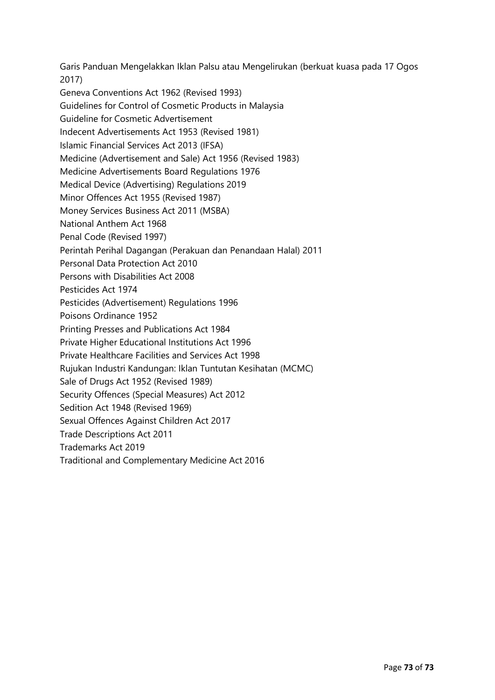Garis Panduan Mengelakkan Iklan Palsu atau Mengelirukan (berkuat kuasa pada 17 Ogos 2017) Geneva Conventions Act 1962 (Revised 1993) Guidelines for Control of Cosmetic Products in Malaysia Guideline for Cosmetic Advertisement Indecent Advertisements Act 1953 (Revised 1981) Islamic Financial Services Act 2013 (IFSA) Medicine (Advertisement and Sale) Act 1956 (Revised 1983) Medicine Advertisements Board Regulations 1976 Medical Device (Advertising) Regulations 2019 Minor Offences Act 1955 (Revised 1987) Money Services Business Act 2011 (MSBA) National Anthem Act 1968 Penal Code (Revised 1997) Perintah Perihal Dagangan (Perakuan dan Penandaan Halal) 2011 Personal Data Protection Act 2010 Persons with Disabilities Act 2008 Pesticides Act 1974 Pesticides (Advertisement) Regulations 1996 Poisons Ordinance 1952 Printing Presses and Publications Act 1984 Private Higher Educational Institutions Act 1996 Private Healthcare Facilities and Services Act 1998 Rujukan Industri Kandungan: Iklan Tuntutan Kesihatan (MCMC) Sale of Drugs Act 1952 (Revised 1989) Security Offences (Special Measures) Act 2012 Sedition Act 1948 (Revised 1969) Sexual Offences Against Children Act 2017 Trade Descriptions Act 2011 Trademarks Act 2019 Traditional and Complementary Medicine Act 2016